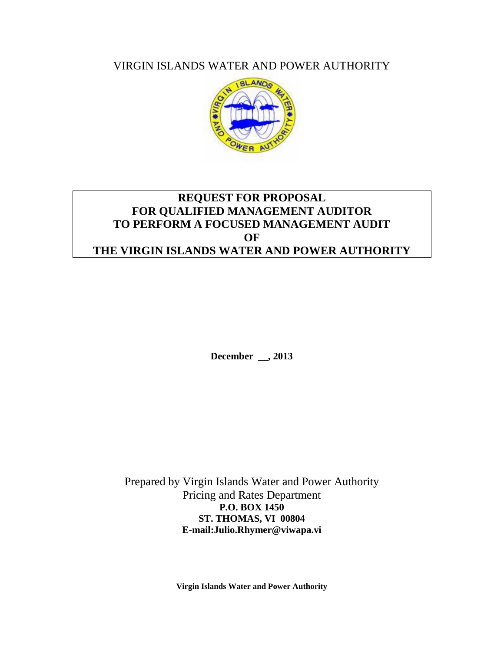VIRGIN ISLANDS WATER AND POWER AUTHORITY



# **REQUEST FOR PROPOSAL FOR QUALIFIED MANAGEMENT AUDITOR TO PERFORM A FOCUSED MANAGEMENT AUDIT OF THE VIRGIN ISLANDS WATER AND POWER AUTHORITY**

**December \_\_, 2013**

Prepared by Virgin Islands Water and Power Authority Pricing and Rates Department **P.O. BOX 1450 ST. THOMAS, VI 00804 E-mail:Julio.Rhymer@viwapa.vi**

**Virgin Islands Water and Power Authority**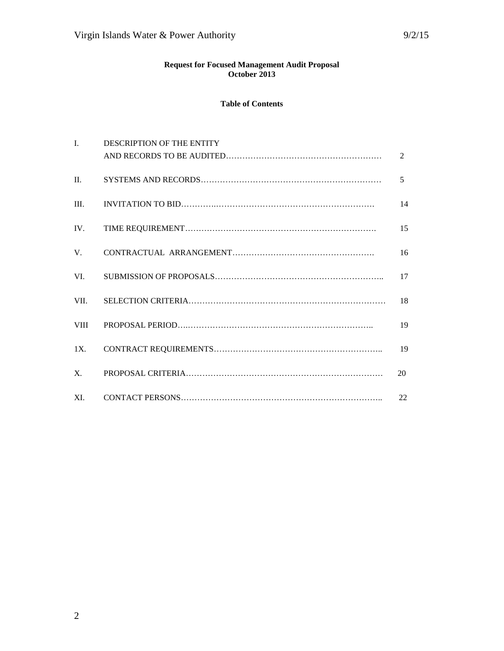#### **Request for Focused Management Audit Proposal October 2013**

#### **Table of Contents**

| $\mathbf{I}$   | DESCRIPTION OF THE ENTITY |                |
|----------------|---------------------------|----------------|
|                |                           | $\mathfrak{D}$ |
| $\Pi$ .        |                           | 5              |
| III.           |                           | 14             |
| IV.            |                           | 15             |
| $V_{\cdot}$    |                           | 16             |
| VI.            |                           | 17             |
| VII.           |                           | 18             |
| <b>VIII</b>    |                           | 19             |
| 1X.            |                           | 19             |
| $\mathbf{X}$ . |                           | 20             |
| XI.            |                           | 22             |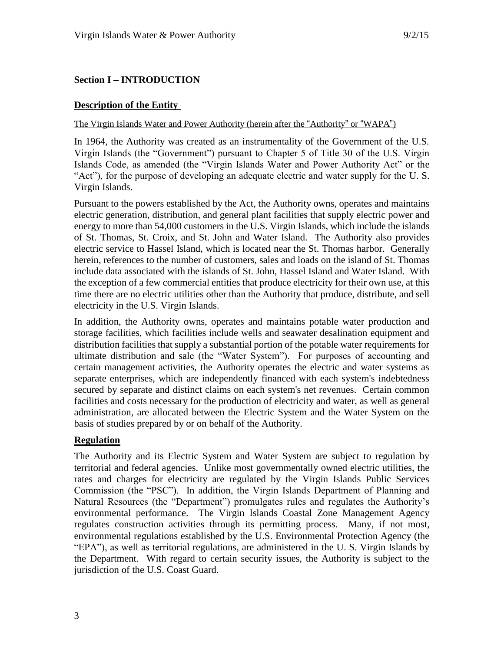# **Section I** – **INTRODUCTION**

### **Description of the Entity**

#### The Virgin Islands Water and Power Authority (herein after the "Authority" or "WAPA")

In 1964, the Authority was created as an instrumentality of the Government of the U.S. Virgin Islands (the "Government") pursuant to Chapter 5 of Title 30 of the U.S. Virgin Islands Code, as amended (the "Virgin Islands Water and Power Authority Act" or the "Act"), for the purpose of developing an adequate electric and water supply for the U. S. Virgin Islands.

Pursuant to the powers established by the Act, the Authority owns, operates and maintains electric generation, distribution, and general plant facilities that supply electric power and energy to more than 54,000 customers in the U.S. Virgin Islands, which include the islands of St. Thomas, St. Croix, and St. John and Water Island. The Authority also provides electric service to Hassel Island, which is located near the St. Thomas harbor. Generally herein, references to the number of customers, sales and loads on the island of St. Thomas include data associated with the islands of St. John, Hassel Island and Water Island. With the exception of a few commercial entities that produce electricity for their own use, at this time there are no electric utilities other than the Authority that produce, distribute, and sell electricity in the U.S. Virgin Islands.

In addition, the Authority owns, operates and maintains potable water production and storage facilities, which facilities include wells and seawater desalination equipment and distribution facilities that supply a substantial portion of the potable water requirements for ultimate distribution and sale (the "Water System"). For purposes of accounting and certain management activities, the Authority operates the electric and water systems as separate enterprises, which are independently financed with each system's indebtedness secured by separate and distinct claims on each system's net revenues. Certain common facilities and costs necessary for the production of electricity and water, as well as general administration, are allocated between the Electric System and the Water System on the basis of studies prepared by or on behalf of the Authority.

# **Regulation**

The Authority and its Electric System and Water System are subject to regulation by territorial and federal agencies. Unlike most governmentally owned electric utilities, the rates and charges for electricity are regulated by the Virgin Islands Public Services Commission (the "PSC"). In addition, the Virgin Islands Department of Planning and Natural Resources (the "Department") promulgates rules and regulates the Authority's environmental performance. The Virgin Islands Coastal Zone Management Agency regulates construction activities through its permitting process. Many, if not most, environmental regulations established by the U.S. Environmental Protection Agency (the "EPA"), as well as territorial regulations, are administered in the U. S. Virgin Islands by the Department. With regard to certain security issues, the Authority is subject to the jurisdiction of the U.S. Coast Guard.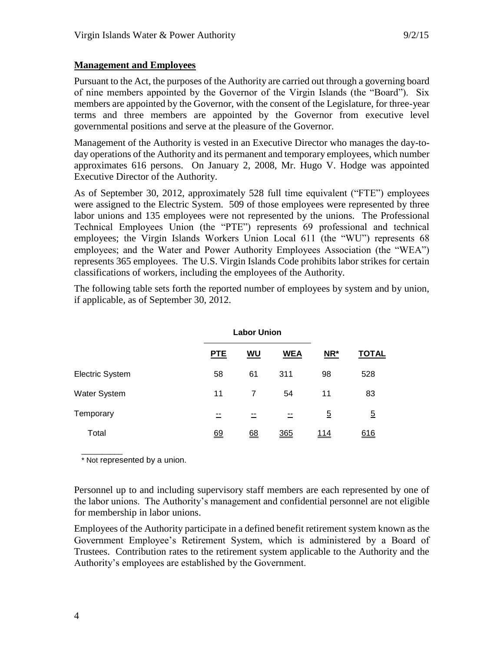Pursuant to the Act, the purposes of the Authority are carried out through a governing board of nine members appointed by the Governor of the Virgin Islands (the "Board"). Six members are appointed by the Governor, with the consent of the Legislature, for three-year terms and three members are appointed by the Governor from executive level governmental positions and serve at the pleasure of the Governor.

Management of the Authority is vested in an Executive Director who manages the day-today operations of the Authority and its permanent and temporary employees, which number approximates 616 persons. On January 2, 2008, Mr. Hugo V. Hodge was appointed Executive Director of the Authority.

As of September 30, 2012, approximately 528 full time equivalent ("FTE") employees were assigned to the Electric System. 509 of those employees were represented by three labor unions and 135 employees were not represented by the unions. The Professional Technical Employees Union (the "PTE") represents 69 professional and technical employees; the Virgin Islands Workers Union Local 611 (the "WU") represents 68 employees; and the Water and Power Authority Employees Association (the "WEA") represents 365 employees. The U.S. Virgin Islands Code prohibits labor strikes for certain classifications of workers, including the employees of the Authority.

The following table sets forth the reported number of employees by system and by union, if applicable, as of September 30, 2012.

|                        |     | <b>Labor Union</b> |            |                |                |
|------------------------|-----|--------------------|------------|----------------|----------------|
|                        | PTE | WU                 | <b>WEA</b> | NR*            | <b>TOTAL</b>   |
| <b>Electric System</b> | 58  | 61                 | 311        | 98             | 528            |
| Water System           | 11  | $\overline{7}$     | 54         | 11             | 83             |
| Temporary              | --  |                    | $- -$      | $\overline{5}$ | $\overline{5}$ |
| Total                  | 69  | 68                 | 365        | <u> 114</u>    | 616            |

\_\_\_\_\_\_\_\_\_\_ \* Not represented by a union.

Personnel up to and including supervisory staff members are each represented by one of the labor unions. The Authority's management and confidential personnel are not eligible for membership in labor unions.

Employees of the Authority participate in a defined benefit retirement system known as the Government Employee's Retirement System, which is administered by a Board of Trustees. Contribution rates to the retirement system applicable to the Authority and the Authority's employees are established by the Government.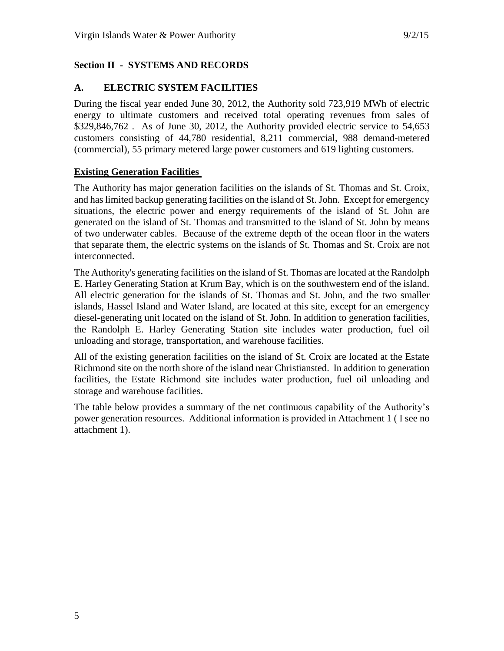# **Section II - SYSTEMS AND RECORDS**

# **A. ELECTRIC SYSTEM FACILITIES**

During the fiscal year ended June 30, 2012, the Authority sold 723,919 MWh of electric energy to ultimate customers and received total operating revenues from sales of \$329,846,762 . As of June 30, 2012, the Authority provided electric service to 54,653 customers consisting of 44,780 residential, 8,211 commercial, 988 demand-metered (commercial), 55 primary metered large power customers and 619 lighting customers.

# **Existing Generation Facilities**

The Authority has major generation facilities on the islands of St. Thomas and St. Croix, and has limited backup generating facilities on the island of St. John. Except for emergency situations, the electric power and energy requirements of the island of St. John are generated on the island of St. Thomas and transmitted to the island of St. John by means of two underwater cables. Because of the extreme depth of the ocean floor in the waters that separate them, the electric systems on the islands of St. Thomas and St. Croix are not interconnected.

The Authority's generating facilities on the island of St. Thomas are located at the Randolph E. Harley Generating Station at Krum Bay, which is on the southwestern end of the island. All electric generation for the islands of St. Thomas and St. John, and the two smaller islands, Hassel Island and Water Island, are located at this site, except for an emergency diesel-generating unit located on the island of St. John. In addition to generation facilities, the Randolph E. Harley Generating Station site includes water production, fuel oil unloading and storage, transportation, and warehouse facilities.

All of the existing generation facilities on the island of St. Croix are located at the Estate Richmond site on the north shore of the island near Christiansted. In addition to generation facilities, the Estate Richmond site includes water production, fuel oil unloading and storage and warehouse facilities.

The table below provides a summary of the net continuous capability of the Authority's power generation resources. Additional information is provided in Attachment 1 ( I see no attachment 1).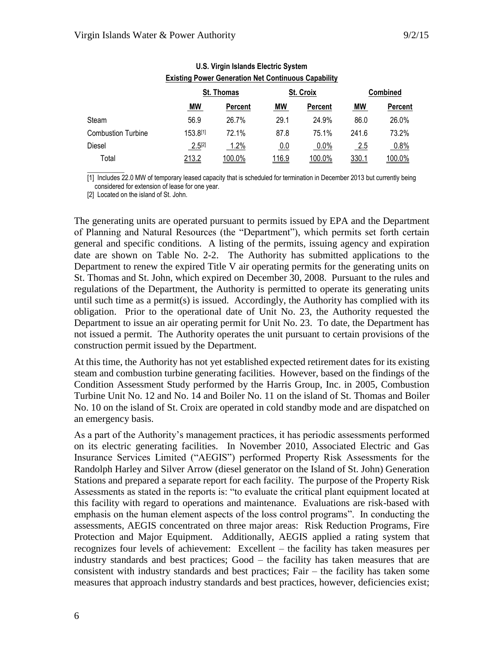| LAISUNU FUWEI OENEIAUUN NEL CUNNIUUUS CADADIIILV |             |            |       |                |                 |               |
|--------------------------------------------------|-------------|------------|-------|----------------|-----------------|---------------|
|                                                  |             | St. Thomas |       | St. Croix      | <b>Combined</b> |               |
|                                                  | <b>MW</b>   | Percent    | MW    | <b>Percent</b> | MW              | Percent       |
| Steam                                            | 56.9        | 26.7%      | 29.1  | 24.9%          | 86.0            | 26.0%         |
| <b>Combustion Turbine</b>                        | 153.8[1]    | 72.1%      | 87.8  | 75.1%          | 241.6           | 73.2%         |
| <b>Diesel</b>                                    | $2.5^{[2]}$ | 1.2%       | 0.0   | $0.0\%$        | 2.5             | 0.8%          |
| Total                                            | 213.2       | 100.0%     | 116.9 | <u>100.0%</u>  | 330.1           | <u>100.0%</u> |

#### **U.S. Virgin Islands Electric System Existing Power Generation Net Continuous Capability**

[1] Includes 22.0 MW of temporary leased capacity that is scheduled for termination in December 2013 but currently being considered for extension of lease for one year.

[2] Located on the island of St. John.

 $\overline{\phantom{a}}$  . The state of the state of the state of the state of the state of the state of the state of the state of the state of the state of the state of the state of the state of the state of the state of the state of

The generating units are operated pursuant to permits issued by EPA and the Department of Planning and Natural Resources (the "Department"), which permits set forth certain general and specific conditions. A listing of the permits, issuing agency and expiration date are shown on Table No. 2-2. The Authority has submitted applications to the Department to renew the expired Title V air operating permits for the generating units on St. Thomas and St. John, which expired on December 30, 2008. Pursuant to the rules and regulations of the Department, the Authority is permitted to operate its generating units until such time as a permit(s) is issued. Accordingly, the Authority has complied with its obligation. Prior to the operational date of Unit No. 23, the Authority requested the Department to issue an air operating permit for Unit No. 23. To date, the Department has not issued a permit. The Authority operates the unit pursuant to certain provisions of the construction permit issued by the Department.

At this time, the Authority has not yet established expected retirement dates for its existing steam and combustion turbine generating facilities. However, based on the findings of the Condition Assessment Study performed by the Harris Group, Inc. in 2005, Combustion Turbine Unit No. 12 and No. 14 and Boiler No. 11 on the island of St. Thomas and Boiler No. 10 on the island of St. Croix are operated in cold standby mode and are dispatched on an emergency basis.

As a part of the Authority's management practices, it has periodic assessments performed on its electric generating facilities. In November 2010, Associated Electric and Gas Insurance Services Limited ("AEGIS") performed Property Risk Assessments for the Randolph Harley and Silver Arrow (diesel generator on the Island of St. John) Generation Stations and prepared a separate report for each facility. The purpose of the Property Risk Assessments as stated in the reports is: "to evaluate the critical plant equipment located at this facility with regard to operations and maintenance. Evaluations are risk-based with emphasis on the human element aspects of the loss control programs". In conducting the assessments, AEGIS concentrated on three major areas: Risk Reduction Programs, Fire Protection and Major Equipment. Additionally, AEGIS applied a rating system that recognizes four levels of achievement: Excellent – the facility has taken measures per industry standards and best practices; Good – the facility has taken measures that are consistent with industry standards and best practices; Fair – the facility has taken some measures that approach industry standards and best practices, however, deficiencies exist;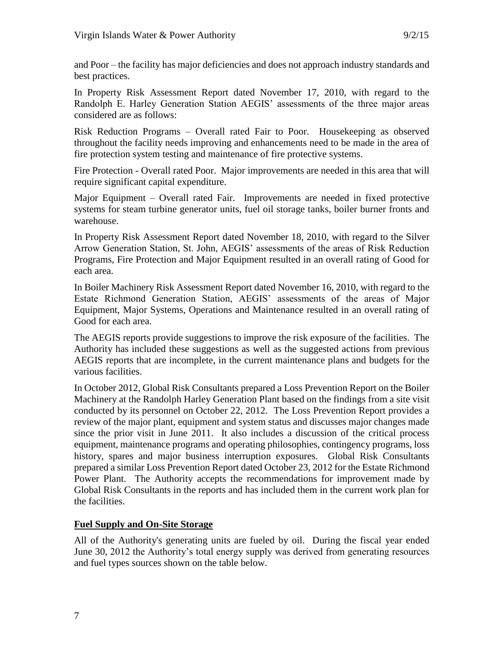and Poor – the facility has major deficiencies and does not approach industry standards and best practices.

In Property Risk Assessment Report dated November 17, 2010, with regard to the Randolph E. Harley Generation Station AEGIS' assessments of the three major areas considered are as follows:

Risk Reduction Programs – Overall rated Fair to Poor. Housekeeping as observed throughout the facility needs improving and enhancements need to be made in the area of fire protection system testing and maintenance of fire protective systems.

Fire Protection - Overall rated Poor. Major improvements are needed in this area that will require significant capital expenditure.

Major Equipment – Overall rated Fair. Improvements are needed in fixed protective systems for steam turbine generator units, fuel oil storage tanks, boiler burner fronts and warehouse.

In Property Risk Assessment Report dated November 18, 2010, with regard to the Silver Arrow Generation Station, St. John, AEGIS' assessments of the areas of Risk Reduction Programs, Fire Protection and Major Equipment resulted in an overall rating of Good for each area.

In Boiler Machinery Risk Assessment Report dated November 16, 2010, with regard to the Estate Richmond Generation Station, AEGIS' assessments of the areas of Major Equipment, Major Systems, Operations and Maintenance resulted in an overall rating of Good for each area.

The AEGIS reports provide suggestions to improve the risk exposure of the facilities. The Authority has included these suggestions as well as the suggested actions from previous AEGIS reports that are incomplete, in the current maintenance plans and budgets for the various facilities.

In October 2012, Global Risk Consultants prepared a Loss Prevention Report on the Boiler Machinery at the Randolph Harley Generation Plant based on the findings from a site visit conducted by its personnel on October 22, 2012. The Loss Prevention Report provides a review of the major plant, equipment and system status and discusses major changes made since the prior visit in June 2011. It also includes a discussion of the critical process equipment, maintenance programs and operating philosophies, contingency programs, loss history, spares and major business interruption exposures. Global Risk Consultants prepared a similar Loss Prevention Report dated October 23, 2012 for the Estate Richmond Power Plant. The Authority accepts the recommendations for improvement made by Global Risk Consultants in the reports and has included them in the current work plan for the facilities.

# **Fuel Supply and On-Site Storage**

All of the Authority's generating units are fueled by oil. During the fiscal year ended June 30, 2012 the Authority's total energy supply was derived from generating resources and fuel types sources shown on the table below.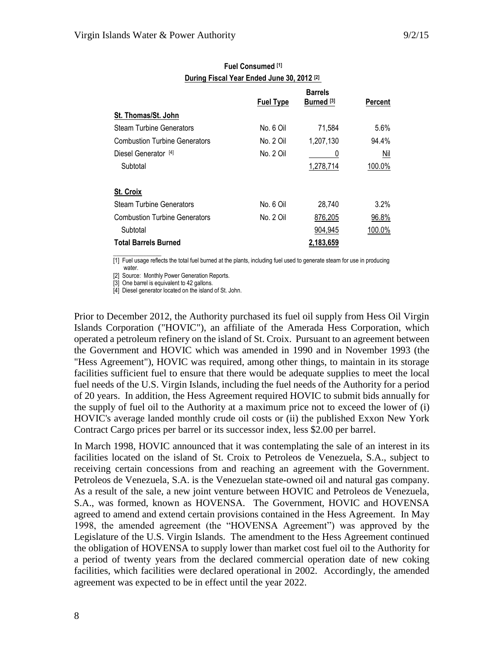|                                      | <b>Fuel Type</b> | <b>Barrels</b><br>Burned <sup>[3]</sup> | Percent |
|--------------------------------------|------------------|-----------------------------------------|---------|
| St. Thomas/St. John                  |                  |                                         |         |
| <b>Steam Turbine Generators</b>      | No. 6 Oil        | 71,584                                  | 5.6%    |
| <b>Combustion Turbine Generators</b> | No. 2 Oil        | 1,207,130                               | 94.4%   |
| Diesel Generator [4]                 | No. 2 Oil        | U                                       | Nil     |
| Subtotal                             |                  | 1,278,714                               | 100.0%  |
| St. Croix                            |                  |                                         |         |
| <b>Steam Turbine Generators</b>      | No. 6 Oil        | 28,740                                  | 3.2%    |
| <b>Combustion Turbine Generators</b> | No. 2 Oil        | 876,205                                 | 96.8%   |
| Subtotal                             |                  | 904.945                                 | 100.0%  |
| <b>Total Barrels Burned</b>          |                  | 2,183,659                               |         |

#### **Fuel Consumed [1] During Fiscal Year Ended June 30, 2012 [2]**

 $\mathcal{L}$  and  $\mathcal{L}$  and  $\mathcal{L}$ [1] Fuel usage reflects the total fuel burned at the plants, including fuel used to generate steam for use in producing water.

[2] Source: Monthly Power Generation Reports.

[3] One barrel is equivalent to 42 gallons.

[4] Diesel generator located on the island of St. John.

Prior to December 2012, the Authority purchased its fuel oil supply from Hess Oil Virgin Islands Corporation ("HOVIC"), an affiliate of the Amerada Hess Corporation, which operated a petroleum refinery on the island of St. Croix. Pursuant to an agreement between the Government and HOVIC which was amended in 1990 and in November 1993 (the "Hess Agreement"), HOVIC was required, among other things, to maintain in its storage facilities sufficient fuel to ensure that there would be adequate supplies to meet the local fuel needs of the U.S. Virgin Islands, including the fuel needs of the Authority for a period of 20 years. In addition, the Hess Agreement required HOVIC to submit bids annually for the supply of fuel oil to the Authority at a maximum price not to exceed the lower of (i) HOVIC's average landed monthly crude oil costs or (ii) the published Exxon New York Contract Cargo prices per barrel or its successor index, less \$2.00 per barrel.

In March 1998, HOVIC announced that it was contemplating the sale of an interest in its facilities located on the island of St. Croix to Petroleos de Venezuela, S.A., subject to receiving certain concessions from and reaching an agreement with the Government. Petroleos de Venezuela, S.A. is the Venezuelan state-owned oil and natural gas company. As a result of the sale, a new joint venture between HOVIC and Petroleos de Venezuela, S.A., was formed, known as HOVENSA. The Government, HOVIC and HOVENSA agreed to amend and extend certain provisions contained in the Hess Agreement. In May 1998, the amended agreement (the "HOVENSA Agreement") was approved by the Legislature of the U.S. Virgin Islands. The amendment to the Hess Agreement continued the obligation of HOVENSA to supply lower than market cost fuel oil to the Authority for a period of twenty years from the declared commercial operation date of new coking facilities, which facilities were declared operational in 2002. Accordingly, the amended agreement was expected to be in effect until the year 2022.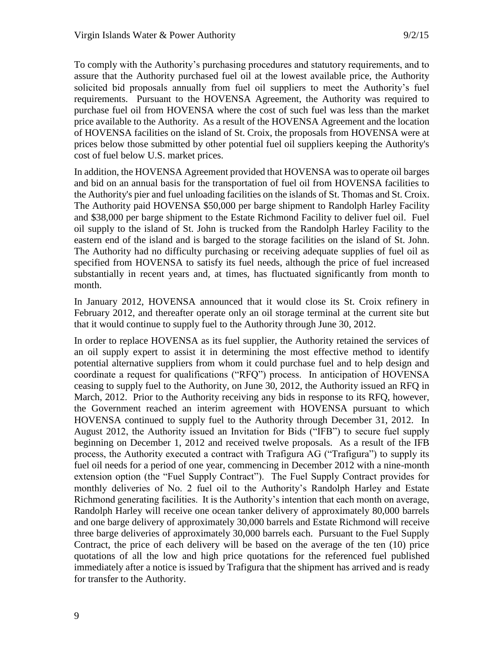To comply with the Authority's purchasing procedures and statutory requirements, and to assure that the Authority purchased fuel oil at the lowest available price, the Authority solicited bid proposals annually from fuel oil suppliers to meet the Authority's fuel requirements. Pursuant to the HOVENSA Agreement, the Authority was required to purchase fuel oil from HOVENSA where the cost of such fuel was less than the market price available to the Authority. As a result of the HOVENSA Agreement and the location of HOVENSA facilities on the island of St. Croix, the proposals from HOVENSA were at prices below those submitted by other potential fuel oil suppliers keeping the Authority's cost of fuel below U.S. market prices.

In addition, the HOVENSA Agreement provided that HOVENSA was to operate oil barges and bid on an annual basis for the transportation of fuel oil from HOVENSA facilities to the Authority's pier and fuel unloading facilities on the islands of St. Thomas and St. Croix. The Authority paid HOVENSA \$50,000 per barge shipment to Randolph Harley Facility and \$38,000 per barge shipment to the Estate Richmond Facility to deliver fuel oil. Fuel oil supply to the island of St. John is trucked from the Randolph Harley Facility to the eastern end of the island and is barged to the storage facilities on the island of St. John. The Authority had no difficulty purchasing or receiving adequate supplies of fuel oil as specified from HOVENSA to satisfy its fuel needs, although the price of fuel increased substantially in recent years and, at times, has fluctuated significantly from month to month.

In January 2012, HOVENSA announced that it would close its St. Croix refinery in February 2012, and thereafter operate only an oil storage terminal at the current site but that it would continue to supply fuel to the Authority through June 30, 2012.

In order to replace HOVENSA as its fuel supplier, the Authority retained the services of an oil supply expert to assist it in determining the most effective method to identify potential alternative suppliers from whom it could purchase fuel and to help design and coordinate a request for qualifications ("RFQ") process. In anticipation of HOVENSA ceasing to supply fuel to the Authority, on June 30, 2012, the Authority issued an RFQ in March, 2012. Prior to the Authority receiving any bids in response to its RFQ, however, the Government reached an interim agreement with HOVENSA pursuant to which HOVENSA continued to supply fuel to the Authority through December 31, 2012. In August 2012, the Authority issued an Invitation for Bids ("IFB") to secure fuel supply beginning on December 1, 2012 and received twelve proposals. As a result of the IFB process, the Authority executed a contract with Trafigura AG ("Trafigura") to supply its fuel oil needs for a period of one year, commencing in December 2012 with a nine-month extension option (the "Fuel Supply Contract"). The Fuel Supply Contract provides for monthly deliveries of No. 2 fuel oil to the Authority's Randolph Harley and Estate Richmond generating facilities. It is the Authority's intention that each month on average, Randolph Harley will receive one ocean tanker delivery of approximately 80,000 barrels and one barge delivery of approximately 30,000 barrels and Estate Richmond will receive three barge deliveries of approximately 30,000 barrels each. Pursuant to the Fuel Supply Contract, the price of each delivery will be based on the average of the ten (10) price quotations of all the low and high price quotations for the referenced fuel published immediately after a notice is issued by Trafigura that the shipment has arrived and is ready for transfer to the Authority.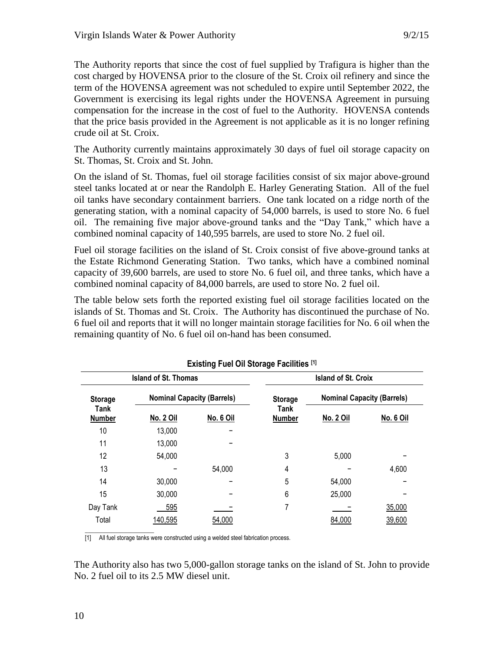The Authority reports that since the cost of fuel supplied by Trafigura is higher than the cost charged by HOVENSA prior to the closure of the St. Croix oil refinery and since the term of the HOVENSA agreement was not scheduled to expire until September 2022, the Government is exercising its legal rights under the HOVENSA Agreement in pursuing compensation for the increase in the cost of fuel to the Authority. HOVENSA contends that the price basis provided in the Agreement is not applicable as it is no longer refining crude oil at St. Croix.

The Authority currently maintains approximately 30 days of fuel oil storage capacity on St. Thomas, St. Croix and St. John.

On the island of St. Thomas, fuel oil storage facilities consist of six major above-ground steel tanks located at or near the Randolph E. Harley Generating Station. All of the fuel oil tanks have secondary containment barriers. One tank located on a ridge north of the generating station, with a nominal capacity of 54,000 barrels, is used to store No. 6 fuel oil. The remaining five major above-ground tanks and the "Day Tank," which have a combined nominal capacity of 140,595 barrels, are used to store No. 2 fuel oil.

Fuel oil storage facilities on the island of St. Croix consist of five above-ground tanks at the Estate Richmond Generating Station. Two tanks, which have a combined nominal capacity of 39,600 barrels, are used to store No. 6 fuel oil, and three tanks, which have a combined nominal capacity of 84,000 barrels, are used to store No. 2 fuel oil.

The table below sets forth the reported existing fuel oil storage facilities located on the islands of St. Thomas and St. Croix. The Authority has discontinued the purchase of No. 6 fuel oil and reports that it will no longer maintain storage facilities for No. 6 oil when the remaining quantity of No. 6 fuel oil on-hand has been consumed.

|                       | <b>EXISting Fuel OII Storage Facilities</b> IV |                  |                            |                                   |           |  |  |  |
|-----------------------|------------------------------------------------|------------------|----------------------------|-----------------------------------|-----------|--|--|--|
|                       | <b>Island of St. Thomas</b>                    |                  | <b>Island of St. Croix</b> |                                   |           |  |  |  |
| <b>Storage</b>        | <b>Nominal Capacity (Barrels)</b>              |                  | <b>Storage</b>             | <b>Nominal Capacity (Barrels)</b> |           |  |  |  |
| Tank<br><b>Number</b> | No. 2 Oil                                      | <u>No. 6 Oil</u> | Tank<br><b>Number</b>      | <b>No. 2 Oil</b>                  | No. 6 Oil |  |  |  |
| 10                    | 13,000                                         |                  |                            |                                   |           |  |  |  |
| 11                    | 13,000                                         |                  |                            |                                   |           |  |  |  |
| 12                    | 54,000                                         |                  | 3                          | 5,000                             |           |  |  |  |
| 13                    |                                                | 54,000           | 4                          |                                   | 4,600     |  |  |  |
| 14                    | 30,000                                         |                  | 5                          | 54,000                            |           |  |  |  |
| 15                    | 30,000                                         |                  | 6                          | 25,000                            |           |  |  |  |
| Day Tank              | 595                                            |                  |                            |                                   | 35,000    |  |  |  |
| Total                 | 140,595                                        | 54,000           |                            | 84,000                            | 39,600    |  |  |  |

**Existing Fuel Oil Storage Facilities [1]**

 $\_$ [1] All fuel storage tanks were constructed using a welded steel fabrication process.

The Authority also has two 5,000-gallon storage tanks on the island of St. John to provide No. 2 fuel oil to its 2.5 MW diesel unit.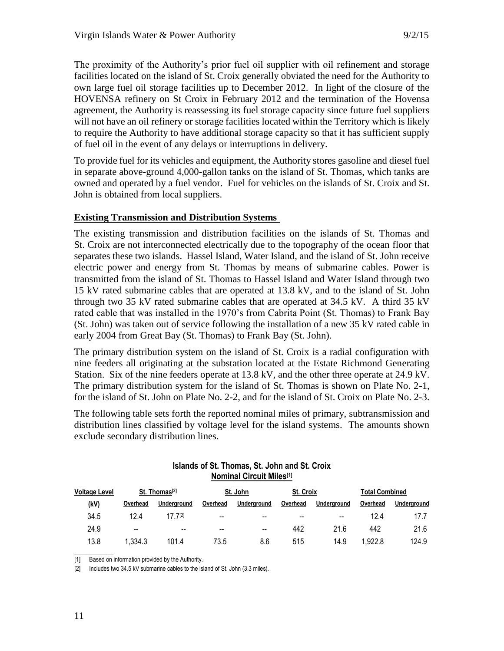The proximity of the Authority's prior fuel oil supplier with oil refinement and storage facilities located on the island of St. Croix generally obviated the need for the Authority to own large fuel oil storage facilities up to December 2012. In light of the closure of the HOVENSA refinery on St Croix in February 2012 and the termination of the Hovensa agreement, the Authority is reassessing its fuel storage capacity since future fuel suppliers will not have an oil refinery or storage facilities located within the Territory which is likely to require the Authority to have additional storage capacity so that it has sufficient supply of fuel oil in the event of any delays or interruptions in delivery.

To provide fuel for its vehicles and equipment, the Authority stores gasoline and diesel fuel in separate above-ground 4,000-gallon tanks on the island of St. Thomas, which tanks are owned and operated by a fuel vendor. Fuel for vehicles on the islands of St. Croix and St. John is obtained from local suppliers.

# **Existing Transmission and Distribution Systems**

The existing transmission and distribution facilities on the islands of St. Thomas and St. Croix are not interconnected electrically due to the topography of the ocean floor that separates these two islands. Hassel Island, Water Island, and the island of St. John receive electric power and energy from St. Thomas by means of submarine cables. Power is transmitted from the island of St. Thomas to Hassel Island and Water Island through two 15 kV rated submarine cables that are operated at 13.8 kV, and to the island of St. John through two 35 kV rated submarine cables that are operated at 34.5 kV. A third 35 kV rated cable that was installed in the 1970's from Cabrita Point (St. Thomas) to Frank Bay (St. John) was taken out of service following the installation of a new 35 kV rated cable in early 2004 from Great Bay (St. Thomas) to Frank Bay (St. John).

The primary distribution system on the island of St. Croix is a radial configuration with nine feeders all originating at the substation located at the Estate Richmond Generating Station. Six of the nine feeders operate at 13.8 kV, and the other three operate at 24.9 kV. The primary distribution system for the island of St. Thomas is shown on Plate No. 2-1, for the island of St. John on Plate No. 2-2, and for the island of St. Croix on Plate No. 2-3.

The following table sets forth the reported nominal miles of primary, subtransmission and distribution lines classified by voltage level for the island systems. The amounts shown exclude secondary distribution lines.

| Islands of St. Thomas, St. John and St. Croix |  |
|-----------------------------------------------|--|
| <b>Nominal Circuit Miles[1]</b>               |  |

| <b>Voltage Level</b> |                          | St. Thomas <sup>[2]</sup> |          | St. John    | <b>St. Croix</b> |             | <b>Total Combined</b> |             |
|----------------------|--------------------------|---------------------------|----------|-------------|------------------|-------------|-----------------------|-------------|
| (kV)                 | Overhead                 | Underaround               | Overhead | Underground | Overhead         | Underground | Overhead              | Underground |
| 34.5                 | 12.4                     | 17 7[2]                   | $-$      | $- -$       | $- -$            | --          | 12.4                  | 17.7        |
| 24.9                 | $\overline{\phantom{a}}$ | $- -$                     | $- -$    | $- -$       | 442              | 21.6        | 442                   | 21.6        |
| 13.8                 | 1.334.3                  | 101.4                     | 73.5     | 8.6         | 515              | 14.9        | 1.922.8               | 124.9       |

 $\overline{\phantom{a}}$ [1] Based on information provided by the Authority.

[2] Includes two 34.5 kV submarine cables to the island of St. John (3.3 miles).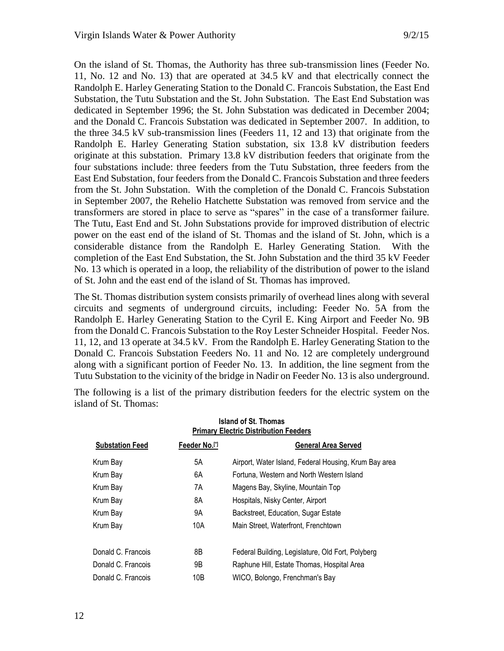On the island of St. Thomas, the Authority has three sub-transmission lines (Feeder No. 11, No. 12 and No. 13) that are operated at 34.5 kV and that electrically connect the Randolph E. Harley Generating Station to the Donald C. Francois Substation, the East End Substation, the Tutu Substation and the St. John Substation. The East End Substation was dedicated in September 1996; the St. John Substation was dedicated in December 2004; and the Donald C. Francois Substation was dedicated in September 2007. In addition, to the three 34.5 kV sub-transmission lines (Feeders 11, 12 and 13) that originate from the Randolph E. Harley Generating Station substation, six 13.8 kV distribution feeders originate at this substation. Primary 13.8 kV distribution feeders that originate from the four substations include: three feeders from the Tutu Substation, three feeders from the East End Substation, four feeders from the Donald C. Francois Substation and three feeders from the St. John Substation. With the completion of the Donald C. Francois Substation in September 2007, the Rehelio Hatchette Substation was removed from service and the transformers are stored in place to serve as "spares" in the case of a transformer failure. The Tutu, East End and St. John Substations provide for improved distribution of electric power on the east end of the island of St. Thomas and the island of St. John, which is a considerable distance from the Randolph E. Harley Generating Station. With the completion of the East End Substation, the St. John Substation and the third 35 kV Feeder No. 13 which is operated in a loop, the reliability of the distribution of power to the island of St. John and the east end of the island of St. Thomas has improved.

The St. Thomas distribution system consists primarily of overhead lines along with several circuits and segments of underground circuits, including: Feeder No. 5A from the Randolph E. Harley Generating Station to the Cyril E. King Airport and Feeder No. 9B from the Donald C. Francois Substation to the Roy Lester Schneider Hospital. Feeder Nos. 11, 12, and 13 operate at 34.5 kV. From the Randolph E. Harley Generating Station to the Donald C. Francois Substation Feeders No. 11 and No. 12 are completely underground along with a significant portion of Feeder No. 13. In addition, the line segment from the Tutu Substation to the vicinity of the bridge in Nadir on Feeder No. 13 is also underground.

The following is a list of the primary distribution feeders for the electric system on the island of St. Thomas:

| Island of St. Thomas<br><b>Primary Electric Distribution Feeders</b> |               |                                                       |  |  |
|----------------------------------------------------------------------|---------------|-------------------------------------------------------|--|--|
| <b>Substation Feed</b>                                               | Feeder No.[*] | <b>General Area Served</b>                            |  |  |
| Krum Bay                                                             | 5Α            | Airport, Water Island, Federal Housing, Krum Bay area |  |  |
| Krum Bay                                                             | 6A            | Fortuna, Western and North Western Island             |  |  |
| Krum Bay                                                             | 7A            | Magens Bay, Skyline, Mountain Top                     |  |  |
| Krum Bay                                                             | 8A            | Hospitals, Nisky Center, Airport                      |  |  |
| Krum Bay                                                             | 9Α            | Backstreet, Education, Sugar Estate                   |  |  |
| Krum Bay                                                             | 10A           | Main Street, Waterfront, Frenchtown                   |  |  |
| Donald C. Francois                                                   | 8B            | Federal Building, Legislature, Old Fort, Polyberg     |  |  |
| Donald C. Francois                                                   | 9B            | Raphune Hill, Estate Thomas, Hospital Area            |  |  |
| Donald C. Francois                                                   | 10B           | WICO, Bolongo, Frenchman's Bay                        |  |  |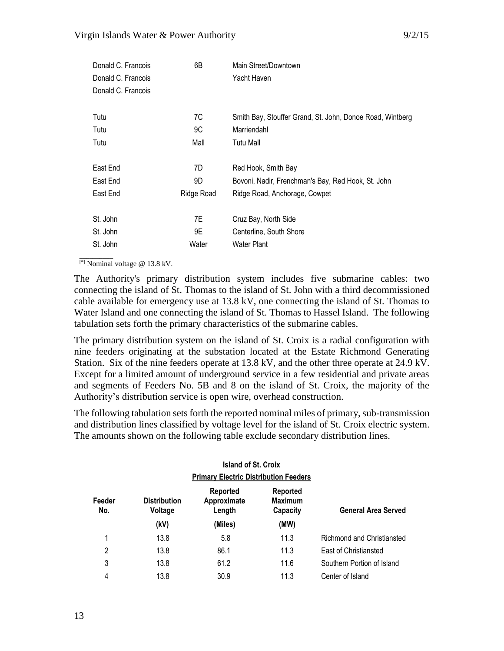| Donald C. Francois | 6B         | Main Street/Downtown                                      |
|--------------------|------------|-----------------------------------------------------------|
| Donald C. Francois |            | Yacht Haven                                               |
| Donald C. Francois |            |                                                           |
| Tutu               | 7C         | Smith Bay, Stouffer Grand, St. John, Donoe Road, Wintberg |
| Tutu               | 9C         | Marriendahl                                               |
| Tutu               | Mall       | Tutu Mall                                                 |
| East End           | 7D         | Red Hook, Smith Bay                                       |
| East End           | 9D         | Bovoni, Nadir, Frenchman's Bay, Red Hook, St. John        |
| East End           | Ridge Road | Ridge Road, Anchorage, Cowpet                             |
| St. John           | 7E         | Cruz Bay, North Side                                      |
| St. John           | 9E         | Centerline, South Shore                                   |
| St. John           | Water      | Water Plant                                               |

 $\overline{\phantom{a}}$ [\*] Nominal voltage @ 13.8 kV.

The Authority's primary distribution system includes five submarine cables: two connecting the island of St. Thomas to the island of St. John with a third decommissioned cable available for emergency use at 13.8 kV, one connecting the island of St. Thomas to Water Island and one connecting the island of St. Thomas to Hassel Island. The following tabulation sets forth the primary characteristics of the submarine cables.

The primary distribution system on the island of St. Croix is a radial configuration with nine feeders originating at the substation located at the Estate Richmond Generating Station. Six of the nine feeders operate at 13.8 kV, and the other three operate at 24.9 kV. Except for a limited amount of underground service in a few residential and private areas and segments of Feeders No. 5B and 8 on the island of St. Croix, the majority of the Authority's distribution service is open wire, overhead construction.

The following tabulation sets forth the reported nominal miles of primary, sub-transmission and distribution lines classified by voltage level for the island of St. Croix electric system. The amounts shown on the following table exclude secondary distribution lines.

|               |                                              | <b>Island of St. Croix</b>        |                                        |                            |  |  |  |
|---------------|----------------------------------------------|-----------------------------------|----------------------------------------|----------------------------|--|--|--|
|               | <b>Primary Electric Distribution Feeders</b> |                                   |                                        |                            |  |  |  |
| Feeder<br>No. | <b>Distribution</b><br>Voltage               | Reported<br>Approximate<br>Length | Reported<br><b>Maximum</b><br>Capacity | <b>General Area Served</b> |  |  |  |
|               | (kV)                                         | (Miles)                           | (MW)                                   |                            |  |  |  |
| 1             | 13.8                                         | 5.8                               | 11.3                                   | Richmond and Christiansted |  |  |  |
| 2             | 13.8                                         | 86.1                              | 11.3                                   | East of Christiansted      |  |  |  |
| 3             | 13.8                                         | 61.2                              | 11.6                                   | Southern Portion of Island |  |  |  |
| 4             | 13.8                                         | 30.9                              | 11.3                                   | Center of Island           |  |  |  |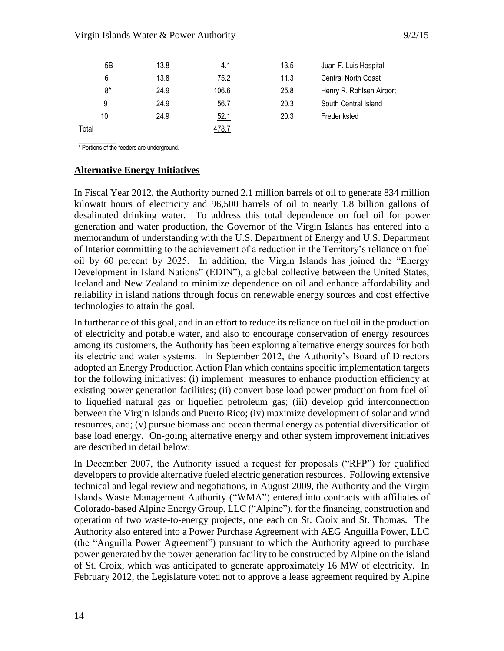#### Virgin Islands Water & Power Authority 19/2/15

| 5B    | 13.8 | 4.1          | 13.5 | Juan F. Luis Hospital      |
|-------|------|--------------|------|----------------------------|
| 6     | 13.8 | 75.2         | 11.3 | <b>Central North Coast</b> |
| 8*    | 24.9 | 106.6        | 25.8 | Henry R. Rohlsen Airport   |
| 9     | 24.9 | 56.7         | 20.3 | South Central Island       |
| 10    | 24.9 | <u>52.1</u>  | 20.3 | Frederiksted               |
| Total |      | <u>478.7</u> |      |                            |

 $\overline{\phantom{a}}$ \* Portions of the feeders are underground.

### **Alternative Energy Initiatives**

In Fiscal Year 2012, the Authority burned 2.1 million barrels of oil to generate 834 million kilowatt hours of electricity and 96,500 barrels of oil to nearly 1.8 billion gallons of desalinated drinking water. To address this total dependence on fuel oil for power generation and water production, the Governor of the Virgin Islands has entered into a memorandum of understanding with the U.S. Department of Energy and U.S. Department of Interior committing to the achievement of a reduction in the Territory's reliance on fuel oil by 60 percent by 2025. In addition, the Virgin Islands has joined the "Energy Development in Island Nations" (EDIN"), a global collective between the United States, Iceland and New Zealand to minimize dependence on oil and enhance affordability and reliability in island nations through focus on renewable energy sources and cost effective technologies to attain the goal.

In furtherance of this goal, and in an effort to reduce its reliance on fuel oil in the production of electricity and potable water, and also to encourage conservation of energy resources among its customers, the Authority has been exploring alternative energy sources for both its electric and water systems. In September 2012, the Authority's Board of Directors adopted an Energy Production Action Plan which contains specific implementation targets for the following initiatives: (i) implement measures to enhance production efficiency at existing power generation facilities; (ii) convert base load power production from fuel oil to liquefied natural gas or liquefied petroleum gas; (iii) develop grid interconnection between the Virgin Islands and Puerto Rico; (iv) maximize development of solar and wind resources, and; (v) pursue biomass and ocean thermal energy as potential diversification of base load energy. On-going alternative energy and other system improvement initiatives are described in detail below:

In December 2007, the Authority issued a request for proposals ("RFP") for qualified developers to provide alternative fueled electric generation resources. Following extensive technical and legal review and negotiations, in August 2009, the Authority and the Virgin Islands Waste Management Authority ("WMA") entered into contracts with affiliates of Colorado-based Alpine Energy Group, LLC ("Alpine"), for the financing, construction and operation of two waste-to-energy projects, one each on St. Croix and St. Thomas. The Authority also entered into a Power Purchase Agreement with AEG Anguilla Power, LLC (the "Anguilla Power Agreement") pursuant to which the Authority agreed to purchase power generated by the power generation facility to be constructed by Alpine on the island of St. Croix, which was anticipated to generate approximately 16 MW of electricity. In February 2012, the Legislature voted not to approve a lease agreement required by Alpine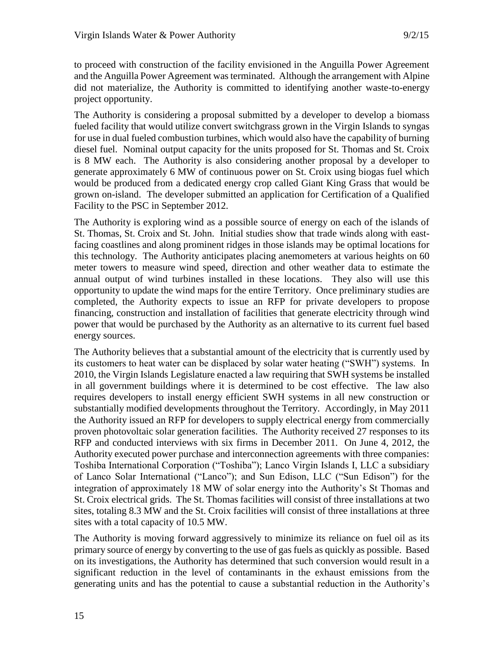to proceed with construction of the facility envisioned in the Anguilla Power Agreement and the Anguilla Power Agreement was terminated. Although the arrangement with Alpine did not materialize, the Authority is committed to identifying another waste-to-energy project opportunity.

The Authority is considering a proposal submitted by a developer to develop a biomass fueled facility that would utilize convert switchgrass grown in the Virgin Islands to syngas for use in dual fueled combustion turbines, which would also have the capability of burning diesel fuel. Nominal output capacity for the units proposed for St. Thomas and St. Croix is 8 MW each. The Authority is also considering another proposal by a developer to generate approximately 6 MW of continuous power on St. Croix using biogas fuel which would be produced from a dedicated energy crop called Giant King Grass that would be grown on-island. The developer submitted an application for Certification of a Qualified Facility to the PSC in September 2012.

The Authority is exploring wind as a possible source of energy on each of the islands of St. Thomas, St. Croix and St. John. Initial studies show that trade winds along with eastfacing coastlines and along prominent ridges in those islands may be optimal locations for this technology. The Authority anticipates placing anemometers at various heights on 60 meter towers to measure wind speed, direction and other weather data to estimate the annual output of wind turbines installed in these locations. They also will use this opportunity to update the wind maps for the entire Territory. Once preliminary studies are completed, the Authority expects to issue an RFP for private developers to propose financing, construction and installation of facilities that generate electricity through wind power that would be purchased by the Authority as an alternative to its current fuel based energy sources.

The Authority believes that a substantial amount of the electricity that is currently used by its customers to heat water can be displaced by solar water heating ("SWH") systems. In 2010, the Virgin Islands Legislature enacted a law requiring that SWH systems be installed in all government buildings where it is determined to be cost effective. The law also requires developers to install energy efficient SWH systems in all new construction or substantially modified developments throughout the Territory. Accordingly, in May 2011 the Authority issued an RFP for developers to supply electrical energy from commercially proven photovoltaic solar generation facilities. The Authority received 27 responses to its RFP and conducted interviews with six firms in December 2011. On June 4, 2012, the Authority executed power purchase and interconnection agreements with three companies: Toshiba International Corporation ("Toshiba"); Lanco Virgin Islands I, LLC a subsidiary of Lanco Solar International ("Lanco"); and Sun Edison, LLC ("Sun Edison") for the integration of approximately 18 MW of solar energy into the Authority's St Thomas and St. Croix electrical grids. The St. Thomas facilities will consist of three installations at two sites, totaling 8.3 MW and the St. Croix facilities will consist of three installations at three sites with a total capacity of 10.5 MW.

The Authority is moving forward aggressively to minimize its reliance on fuel oil as its primary source of energy by converting to the use of gas fuels as quickly as possible. Based on its investigations, the Authority has determined that such conversion would result in a significant reduction in the level of contaminants in the exhaust emissions from the generating units and has the potential to cause a substantial reduction in the Authority's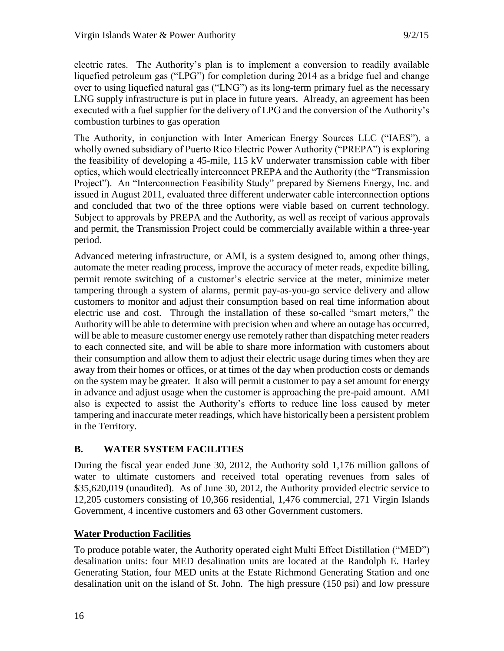electric rates. The Authority's plan is to implement a conversion to readily available liquefied petroleum gas ("LPG") for completion during 2014 as a bridge fuel and change over to using liquefied natural gas ("LNG") as its long-term primary fuel as the necessary LNG supply infrastructure is put in place in future years. Already, an agreement has been executed with a fuel supplier for the delivery of LPG and the conversion of the Authority's combustion turbines to gas operation

The Authority, in conjunction with Inter American Energy Sources LLC ("IAES"), a wholly owned subsidiary of Puerto Rico Electric Power Authority ("PREPA") is exploring the feasibility of developing a 45-mile, 115 kV underwater transmission cable with fiber optics, which would electrically interconnect PREPA and the Authority (the "Transmission Project"). An "Interconnection Feasibility Study" prepared by Siemens Energy, Inc. and issued in August 2011, evaluated three different underwater cable interconnection options and concluded that two of the three options were viable based on current technology. Subject to approvals by PREPA and the Authority, as well as receipt of various approvals and permit, the Transmission Project could be commercially available within a three-year period.

Advanced metering infrastructure, or AMI, is a system designed to, among other things, automate the meter reading process, improve the accuracy of meter reads, expedite billing, permit remote switching of a customer's electric service at the meter, minimize meter tampering through a system of alarms, permit pay-as-you-go service delivery and allow customers to monitor and adjust their consumption based on real time information about electric use and cost. Through the installation of these so-called "smart meters," the Authority will be able to determine with precision when and where an outage has occurred, will be able to measure customer energy use remotely rather than dispatching meter readers to each connected site, and will be able to share more information with customers about their consumption and allow them to adjust their electric usage during times when they are away from their homes or offices, or at times of the day when production costs or demands on the system may be greater. It also will permit a customer to pay a set amount for energy in advance and adjust usage when the customer is approaching the pre-paid amount. AMI also is expected to assist the Authority's efforts to reduce line loss caused by meter tampering and inaccurate meter readings, which have historically been a persistent problem in the Territory.

# **B. WATER SYSTEM FACILITIES**

During the fiscal year ended June 30, 2012, the Authority sold 1,176 million gallons of water to ultimate customers and received total operating revenues from sales of \$35,620,019 (unaudited). As of June 30, 2012, the Authority provided electric service to 12,205 customers consisting of 10,366 residential, 1,476 commercial, 271 Virgin Islands Government, 4 incentive customers and 63 other Government customers.

# **Water Production Facilities**

To produce potable water, the Authority operated eight Multi Effect Distillation ("MED") desalination units: four MED desalination units are located at the Randolph E. Harley Generating Station, four MED units at the Estate Richmond Generating Station and one desalination unit on the island of St. John. The high pressure (150 psi) and low pressure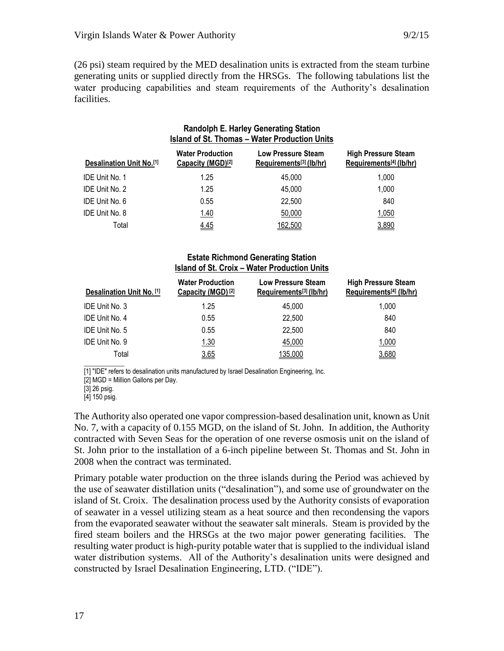(26 psi) steam required by the MED desalination units is extracted from the steam turbine generating units or supplied directly from the HRSGs. The following tabulations list the water producing capabilities and steam requirements of the Authority's desalination facilities.

|                                  | <b>Randolph E. Harley Generating Station</b><br><b>Island of St. Thomas - Water Production Units</b> |                                                      |                                                       |
|----------------------------------|------------------------------------------------------------------------------------------------------|------------------------------------------------------|-------------------------------------------------------|
| <b>Desalination Unit No.</b> [1] | <b>Water Production</b><br>Capacity (MGD) <sup>[2]</sup>                                             | <b>Low Pressure Steam</b><br>Requirements[3] (lb/hr) | <b>High Pressure Steam</b><br>Requirements[4] (lb/hr) |
| <b>IDE Unit No. 1</b>            | 1.25                                                                                                 | 45.000                                               | 1,000                                                 |
| <b>IDE Unit No. 2</b>            | 1.25                                                                                                 | 45,000                                               | 1,000                                                 |
| IDE Unit No. 6                   | 0.55                                                                                                 | 22,500                                               | 840                                                   |
| IDE Unit No. 8                   | 1.40                                                                                                 | 50,000                                               | 1,050                                                 |
| Total                            | 4.45                                                                                                 | 162,500                                              | 3,890                                                 |

#### **Estate Richmond Generating Station Island of St. Croix – Water Production Units**

| Desalination Unit No. [1] | <b>Water Production</b><br>Capacity (MGD) <sup>[2]</sup> | Low Pressure Steam<br>Requirements <sup>[3]</sup> (lb/hr) | <b>High Pressure Steam</b><br>Requirements <sup>[4]</sup> (lb/hr) |
|---------------------------|----------------------------------------------------------|-----------------------------------------------------------|-------------------------------------------------------------------|
| IDE Unit No. 3            | 1.25                                                     | 45.000                                                    | 1,000                                                             |
| IDE Unit No. 4            | 0.55                                                     | 22,500                                                    | 840                                                               |
| IDE Unit No. 5            | 0.55                                                     | 22,500                                                    | 840                                                               |
| IDE Unit No. 9            | 1.30                                                     | 45,000                                                    | 1,000                                                             |
| Total                     | 3.65                                                     | 135,000                                                   | 3,680                                                             |

[1] "IDE" refers to desalination units manufactured by Israel Desalination Engineering, Inc.

[2] MGD = Million Gallons per Day.

[3] 26 psig.

 $\overline{\phantom{a}}$  , where  $\overline{\phantom{a}}$ 

[4] 150 psig.

The Authority also operated one vapor compression-based desalination unit, known as Unit No. 7, with a capacity of 0.155 MGD, on the island of St. John. In addition, the Authority contracted with Seven Seas for the operation of one reverse osmosis unit on the island of St. John prior to the installation of a 6-inch pipeline between St. Thomas and St. John in 2008 when the contract was terminated.

Primary potable water production on the three islands during the Period was achieved by the use of seawater distillation units ("desalination"), and some use of groundwater on the island of St. Croix. The desalination process used by the Authority consists of evaporation of seawater in a vessel utilizing steam as a heat source and then recondensing the vapors from the evaporated seawater without the seawater salt minerals. Steam is provided by the fired steam boilers and the HRSGs at the two major power generating facilities. The resulting water product is high-purity potable water that is supplied to the individual island water distribution systems. All of the Authority's desalination units were designed and constructed by Israel Desalination Engineering, LTD. ("IDE").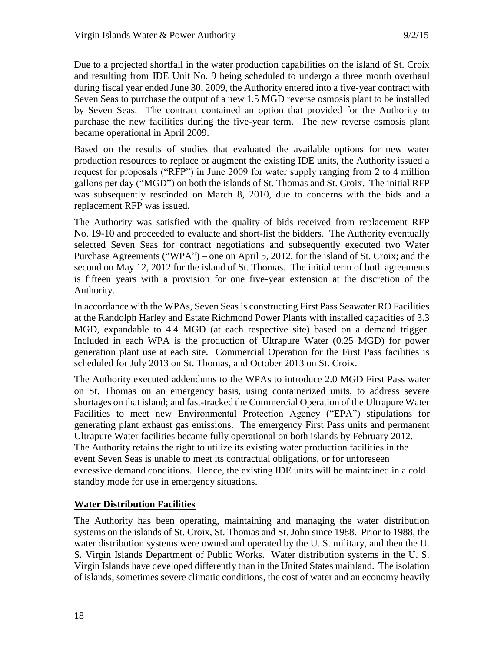Due to a projected shortfall in the water production capabilities on the island of St. Croix and resulting from IDE Unit No. 9 being scheduled to undergo a three month overhaul during fiscal year ended June 30, 2009, the Authority entered into a five-year contract with Seven Seas to purchase the output of a new 1.5 MGD reverse osmosis plant to be installed by Seven Seas. The contract contained an option that provided for the Authority to purchase the new facilities during the five-year term. The new reverse osmosis plant became operational in April 2009.

Based on the results of studies that evaluated the available options for new water production resources to replace or augment the existing IDE units, the Authority issued a request for proposals ("RFP") in June 2009 for water supply ranging from 2 to 4 million gallons per day ("MGD") on both the islands of St. Thomas and St. Croix. The initial RFP was subsequently rescinded on March 8, 2010, due to concerns with the bids and a replacement RFP was issued.

The Authority was satisfied with the quality of bids received from replacement RFP No. 19-10 and proceeded to evaluate and short-list the bidders. The Authority eventually selected Seven Seas for contract negotiations and subsequently executed two Water Purchase Agreements ("WPA") – one on April 5, 2012, for the island of St. Croix; and the second on May 12, 2012 for the island of St. Thomas. The initial term of both agreements is fifteen years with a provision for one five-year extension at the discretion of the Authority.

In accordance with the WPAs, Seven Seas is constructing First Pass Seawater RO Facilities at the Randolph Harley and Estate Richmond Power Plants with installed capacities of 3.3 MGD, expandable to 4.4 MGD (at each respective site) based on a demand trigger. Included in each WPA is the production of Ultrapure Water (0.25 MGD) for power generation plant use at each site. Commercial Operation for the First Pass facilities is scheduled for July 2013 on St. Thomas, and October 2013 on St. Croix.

The Authority executed addendums to the WPAs to introduce 2.0 MGD First Pass water on St. Thomas on an emergency basis, using containerized units, to address severe shortages on that island; and fast-tracked the Commercial Operation of the Ultrapure Water Facilities to meet new Environmental Protection Agency ("EPA") stipulations for generating plant exhaust gas emissions. The emergency First Pass units and permanent Ultrapure Water facilities became fully operational on both islands by February 2012. The Authority retains the right to utilize its existing water production facilities in the event Seven Seas is unable to meet its contractual obligations, or for unforeseen excessive demand conditions. Hence, the existing IDE units will be maintained in a cold standby mode for use in emergency situations.

# **Water Distribution Facilities**

The Authority has been operating, maintaining and managing the water distribution systems on the islands of St. Croix, St. Thomas and St. John since 1988. Prior to 1988, the water distribution systems were owned and operated by the U. S. military, and then the U. S. Virgin Islands Department of Public Works. Water distribution systems in the U. S. Virgin Islands have developed differently than in the United States mainland. The isolation of islands, sometimes severe climatic conditions, the cost of water and an economy heavily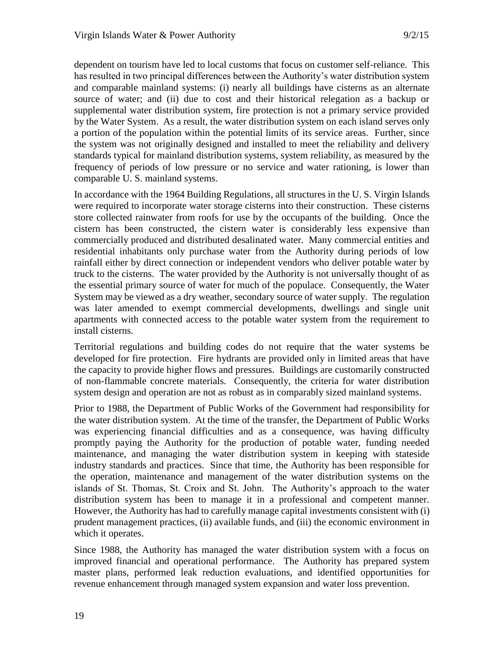dependent on tourism have led to local customs that focus on customer self-reliance. This has resulted in two principal differences between the Authority's water distribution system and comparable mainland systems: (i) nearly all buildings have cisterns as an alternate source of water; and (ii) due to cost and their historical relegation as a backup or supplemental water distribution system, fire protection is not a primary service provided by the Water System. As a result, the water distribution system on each island serves only a portion of the population within the potential limits of its service areas. Further, since the system was not originally designed and installed to meet the reliability and delivery standards typical for mainland distribution systems, system reliability, as measured by the frequency of periods of low pressure or no service and water rationing, is lower than comparable U. S. mainland systems.

In accordance with the 1964 Building Regulations, all structures in the U. S. Virgin Islands were required to incorporate water storage cisterns into their construction. These cisterns store collected rainwater from roofs for use by the occupants of the building. Once the cistern has been constructed, the cistern water is considerably less expensive than commercially produced and distributed desalinated water. Many commercial entities and residential inhabitants only purchase water from the Authority during periods of low rainfall either by direct connection or independent vendors who deliver potable water by truck to the cisterns. The water provided by the Authority is not universally thought of as the essential primary source of water for much of the populace. Consequently, the Water System may be viewed as a dry weather, secondary source of water supply. The regulation was later amended to exempt commercial developments, dwellings and single unit apartments with connected access to the potable water system from the requirement to install cisterns.

Territorial regulations and building codes do not require that the water systems be developed for fire protection. Fire hydrants are provided only in limited areas that have the capacity to provide higher flows and pressures. Buildings are customarily constructed of non-flammable concrete materials. Consequently, the criteria for water distribution system design and operation are not as robust as in comparably sized mainland systems.

Prior to 1988, the Department of Public Works of the Government had responsibility for the water distribution system. At the time of the transfer, the Department of Public Works was experiencing financial difficulties and as a consequence, was having difficulty promptly paying the Authority for the production of potable water, funding needed maintenance, and managing the water distribution system in keeping with stateside industry standards and practices. Since that time, the Authority has been responsible for the operation, maintenance and management of the water distribution systems on the islands of St. Thomas, St. Croix and St. John. The Authority's approach to the water distribution system has been to manage it in a professional and competent manner. However, the Authority has had to carefully manage capital investments consistent with (i) prudent management practices, (ii) available funds, and (iii) the economic environment in which it operates.

Since 1988, the Authority has managed the water distribution system with a focus on improved financial and operational performance. The Authority has prepared system master plans, performed leak reduction evaluations, and identified opportunities for revenue enhancement through managed system expansion and water loss prevention.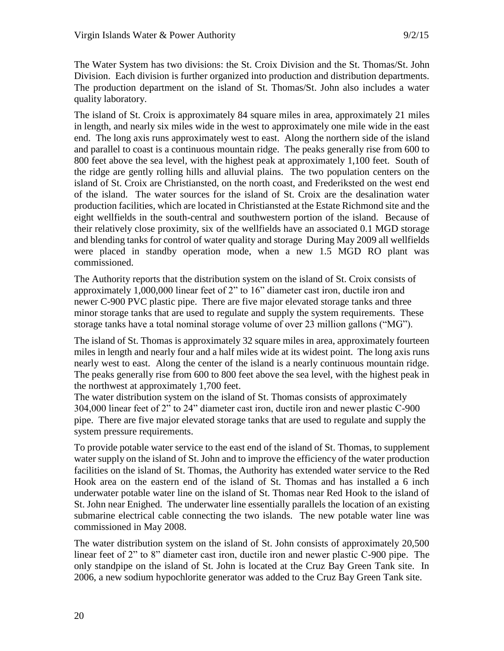The Water System has two divisions: the St. Croix Division and the St. Thomas/St. John Division. Each division is further organized into production and distribution departments. The production department on the island of St. Thomas/St. John also includes a water quality laboratory.

The island of St. Croix is approximately 84 square miles in area, approximately 21 miles in length, and nearly six miles wide in the west to approximately one mile wide in the east end. The long axis runs approximately west to east. Along the northern side of the island and parallel to coast is a continuous mountain ridge. The peaks generally rise from 600 to 800 feet above the sea level, with the highest peak at approximately 1,100 feet. South of the ridge are gently rolling hills and alluvial plains. The two population centers on the island of St. Croix are Christiansted, on the north coast, and Frederiksted on the west end of the island. The water sources for the island of St. Croix are the desalination water production facilities, which are located in Christiansted at the Estate Richmond site and the eight wellfields in the south-central and southwestern portion of the island. Because of their relatively close proximity, six of the wellfields have an associated 0.1 MGD storage and blending tanks for control of water quality and storage During May 2009 all wellfields were placed in standby operation mode, when a new 1.5 MGD RO plant was commissioned.

The Authority reports that the distribution system on the island of St. Croix consists of approximately 1,000,000 linear feet of 2" to 16" diameter cast iron, ductile iron and newer C-900 PVC plastic pipe. There are five major elevated storage tanks and three minor storage tanks that are used to regulate and supply the system requirements. These storage tanks have a total nominal storage volume of over 23 million gallons ("MG").

The island of St. Thomas is approximately 32 square miles in area, approximately fourteen miles in length and nearly four and a half miles wide at its widest point. The long axis runs nearly west to east. Along the center of the island is a nearly continuous mountain ridge. The peaks generally rise from 600 to 800 feet above the sea level, with the highest peak in the northwest at approximately 1,700 feet.

The water distribution system on the island of St. Thomas consists of approximately 304,000 linear feet of 2" to 24" diameter cast iron, ductile iron and newer plastic C-900 pipe. There are five major elevated storage tanks that are used to regulate and supply the system pressure requirements.

To provide potable water service to the east end of the island of St. Thomas, to supplement water supply on the island of St. John and to improve the efficiency of the water production facilities on the island of St. Thomas, the Authority has extended water service to the Red Hook area on the eastern end of the island of St. Thomas and has installed a 6 inch underwater potable water line on the island of St. Thomas near Red Hook to the island of St. John near Enighed. The underwater line essentially parallels the location of an existing submarine electrical cable connecting the two islands. The new potable water line was commissioned in May 2008.

The water distribution system on the island of St. John consists of approximately 20,500 linear feet of 2" to 8" diameter cast iron, ductile iron and newer plastic C-900 pipe. The only standpipe on the island of St. John is located at the Cruz Bay Green Tank site. In 2006, a new sodium hypochlorite generator was added to the Cruz Bay Green Tank site.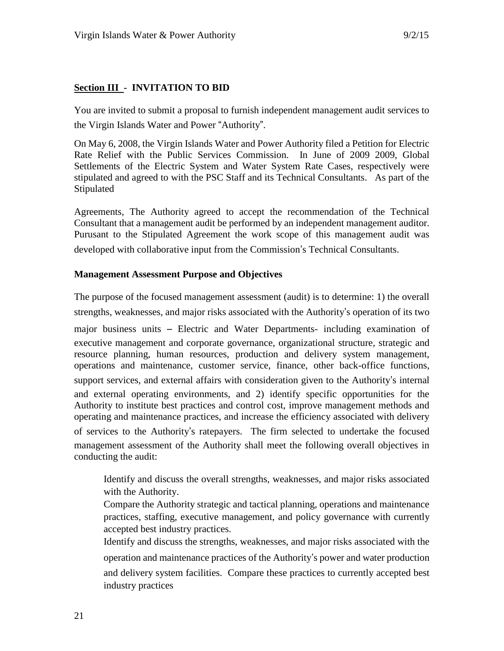# **Section III - INVITATION TO BID**

You are invited to submit a proposal to furnish independent management audit services to the Virgin Islands Water and Power "Authority".

On May 6, 2008, the Virgin Islands Water and Power Authority filed a Petition for Electric Rate Relief with the Public Services Commission. In June of 2009 2009, Global Settlements of the Electric System and Water System Rate Cases, respectively were stipulated and agreed to with the PSC Staff and its Technical Consultants. As part of the Stipulated

Agreements, The Authority agreed to accept the recommendation of the Technical Consultant that a management audit be performed by an independent management auditor. Purusant to the Stipulated Agreement the work scope of this management audit was developed with collaborative input from the Commission's Technical Consultants.

#### **Management Assessment Purpose and Objectives**

The purpose of the focused management assessment (audit) is to determine: 1) the overall strengths, weaknesses, and major risks associated with the Authority's operation of its two

major business units – Electric and Water Departments- including examination of executive management and corporate governance, organizational structure, strategic and resource planning, human resources, production and delivery system management, operations and maintenance, customer service, finance, other back-office functions, support services, and external affairs with consideration given to the Authority's internal and external operating environments, and 2) identify specific opportunities for the Authority to institute best practices and control cost, improve management methods and operating and maintenance practices, and increase the efficiency associated with delivery of services to the Authority's ratepayers. The firm selected to undertake the focused management assessment of the Authority shall meet the following overall objectives in conducting the audit:

Identify and discuss the overall strengths, weaknesses, and major risks associated with the Authority.

Compare the Authority strategic and tactical planning, operations and maintenance practices, staffing, executive management, and policy governance with currently accepted best industry practices.

Identify and discuss the strengths, weaknesses, and major risks associated with the operation and maintenance practices of the Authority's power and water production and delivery system facilities. Compare these practices to currently accepted best industry practices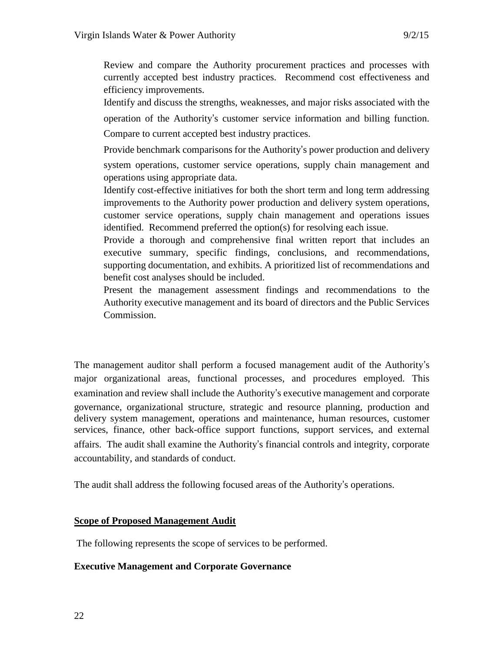Review and compare the Authority procurement practices and processes with currently accepted best industry practices. Recommend cost effectiveness and efficiency improvements.

Identify and discuss the strengths, weaknesses, and major risks associated with the operation of the Authority's customer service information and billing function.

Compare to current accepted best industry practices.

Provide benchmark comparisons for the Authority's power production and delivery

system operations, customer service operations, supply chain management and operations using appropriate data.

Identify cost-effective initiatives for both the short term and long term addressing improvements to the Authority power production and delivery system operations, customer service operations, supply chain management and operations issues identified. Recommend preferred the option(s) for resolving each issue.

Provide a thorough and comprehensive final written report that includes an executive summary, specific findings, conclusions, and recommendations, supporting documentation, and exhibits. A prioritized list of recommendations and benefit cost analyses should be included.

Present the management assessment findings and recommendations to the Authority executive management and its board of directors and the Public Services Commission.

The management auditor shall perform a focused management audit of the Authority's major organizational areas, functional processes, and procedures employed. This examination and review shall include the Authority's executive management and corporate governance, organizational structure, strategic and resource planning, production and delivery system management, operations and maintenance, human resources, customer services, finance, other back-office support functions, support services, and external affairs. The audit shall examine the Authority's financial controls and integrity, corporate accountability, and standards of conduct.

The audit shall address the following focused areas of the Authority's operations.

# **Scope of Proposed Management Audit**

The following represents the scope of services to be performed.

# **Executive Management and Corporate Governance**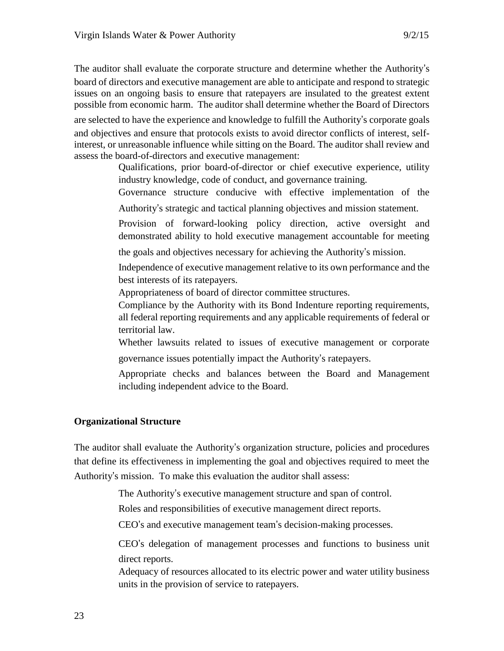The auditor shall evaluate the corporate structure and determine whether the Authority's board of directors and executive management are able to anticipate and respond to strategic issues on an ongoing basis to ensure that ratepayers are insulated to the greatest extent possible from economic harm. The auditor shall determine whether the Board of Directors

are selected to have the experience and knowledge to fulfill the Authority's corporate goals and objectives and ensure that protocols exists to avoid director conflicts of interest, selfinterest, or unreasonable influence while sitting on the Board. The auditor shall review and assess the board-of-directors and executive management:

> Qualifications, prior board-of-director or chief executive experience, utility industry knowledge, code of conduct, and governance training.

> Governance structure conducive with effective implementation of the Authority's strategic and tactical planning objectives and mission statement.

> Provision of forward-looking policy direction, active oversight and demonstrated ability to hold executive management accountable for meeting

the goals and objectives necessary for achieving the Authority's mission.

Independence of executive management relative to its own performance and the best interests of its ratepayers.

Appropriateness of board of director committee structures.

Compliance by the Authority with its Bond Indenture reporting requirements, all federal reporting requirements and any applicable requirements of federal or territorial law.

Whether lawsuits related to issues of executive management or corporate governance issues potentially impact the Authority's ratepayers.

Appropriate checks and balances between the Board and Management including independent advice to the Board.

# **Organizational Structure**

The auditor shall evaluate the Authority's organization structure, policies and procedures that define its effectiveness in implementing the goal and objectives required to meet the Authority's mission. To make this evaluation the auditor shall assess:

The Authority's executive management structure and span of control.

Roles and responsibilities of executive management direct reports.

CEO's and executive management team's decision-making processes.

CEO's delegation of management processes and functions to business unit direct reports.

Adequacy of resources allocated to its electric power and water utility business units in the provision of service to ratepayers.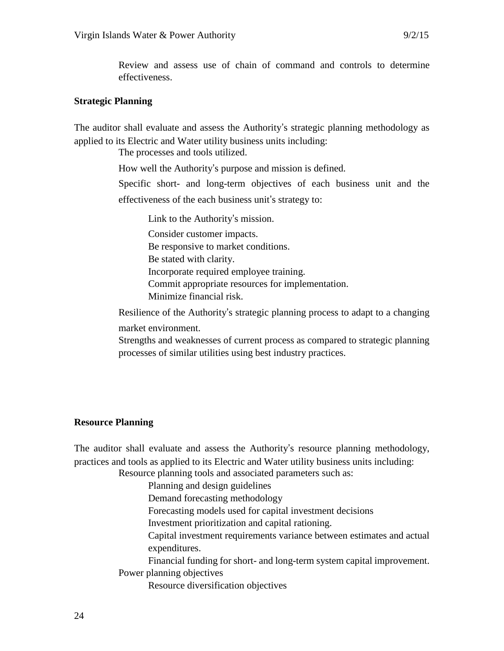Review and assess use of chain of command and controls to determine effectiveness.

#### **Strategic Planning**

The auditor shall evaluate and assess the Authority's strategic planning methodology as applied to its Electric and Water utility business units including:

The processes and tools utilized.

How well the Authority's purpose and mission is defined.

Specific short- and long-term objectives of each business unit and the effectiveness of the each business unit's strategy to:

Link to the Authority's mission. Consider customer impacts. Be responsive to market conditions. Be stated with clarity. Incorporate required employee training. Commit appropriate resources for implementation. Minimize financial risk.

Resilience of the Authority's strategic planning process to adapt to a changing market environment.

Strengths and weaknesses of current process as compared to strategic planning processes of similar utilities using best industry practices.

#### **Resource Planning**

The auditor shall evaluate and assess the Authority's resource planning methodology, practices and tools as applied to its Electric and Water utility business units including:

Resource planning tools and associated parameters such as:

Planning and design guidelines

Demand forecasting methodology

Forecasting models used for capital investment decisions

Investment prioritization and capital rationing.

Capital investment requirements variance between estimates and actual expenditures.

Financial funding for short- and long-term system capital improvement. Power planning objectives

Resource diversification objectives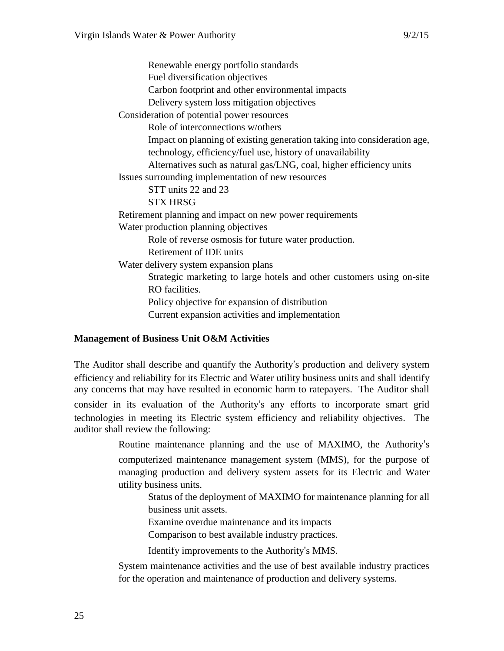Renewable energy portfolio standards Fuel diversification objectives Carbon footprint and other environmental impacts Delivery system loss mitigation objectives Consideration of potential power resources Role of interconnections w/others Impact on planning of existing generation taking into consideration age, technology, efficiency/fuel use, history of unavailability Alternatives such as natural gas/LNG, coal, higher efficiency units Issues surrounding implementation of new resources STT units 22 and 23 STX HRSG Retirement planning and impact on new power requirements Water production planning objectives Role of reverse osmosis for future water production. Retirement of IDE units Water delivery system expansion plans Strategic marketing to large hotels and other customers using on-site RO facilities. Policy objective for expansion of distribution Current expansion activities and implementation

# **Management of Business Unit O&M Activities**

The Auditor shall describe and quantify the Authority's production and delivery system efficiency and reliability for its Electric and Water utility business units and shall identify any concerns that may have resulted in economic harm to ratepayers. The Auditor shall consider in its evaluation of the Authority's any efforts to incorporate smart grid technologies in meeting its Electric system efficiency and reliability objectives. The auditor shall review the following:

> Routine maintenance planning and the use of MAXIMO, the Authority's computerized maintenance management system (MMS), for the purpose of managing production and delivery system assets for its Electric and Water utility business units.

Status of the deployment of MAXIMO for maintenance planning for all business unit assets.

Examine overdue maintenance and its impacts

Comparison to best available industry practices.

Identify improvements to the Authority's MMS.

System maintenance activities and the use of best available industry practices for the operation and maintenance of production and delivery systems.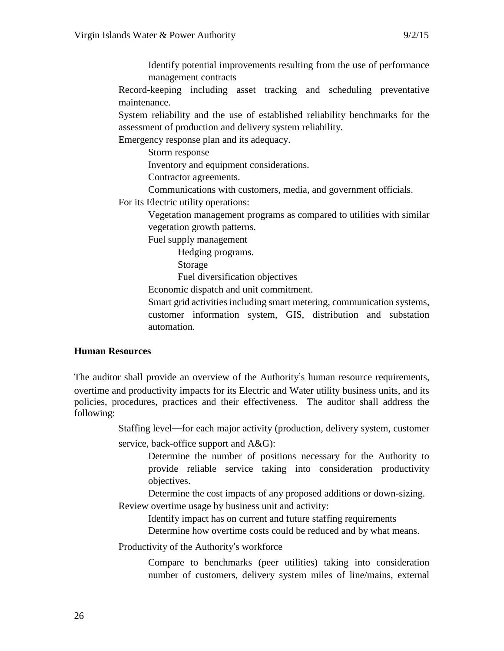Identify potential improvements resulting from the use of performance management contracts

Record-keeping including asset tracking and scheduling preventative maintenance.

System reliability and the use of established reliability benchmarks for the assessment of production and delivery system reliability.

Emergency response plan and its adequacy.

Storm response

Inventory and equipment considerations.

Contractor agreements.

Communications with customers, media, and government officials.

For its Electric utility operations:

Vegetation management programs as compared to utilities with similar vegetation growth patterns.

Fuel supply management

Hedging programs.

Storage

Fuel diversification objectives

Economic dispatch and unit commitment.

Smart grid activities including smart metering, communication systems, customer information system, GIS, distribution and substation automation.

# **Human Resources**

The auditor shall provide an overview of the Authority's human resource requirements, overtime and productivity impacts for its Electric and Water utility business units, and its policies, procedures, practices and their effectiveness. The auditor shall address the following:

Staffing level—for each major activity (production, delivery system, customer

service, back-office support and  $A&G$ :

Determine the number of positions necessary for the Authority to provide reliable service taking into consideration productivity objectives.

Determine the cost impacts of any proposed additions or down-sizing. Review overtime usage by business unit and activity:

Identify impact has on current and future staffing requirements

Determine how overtime costs could be reduced and by what means.

Productivity of the Authority's workforce

Compare to benchmarks (peer utilities) taking into consideration number of customers, delivery system miles of line/mains, external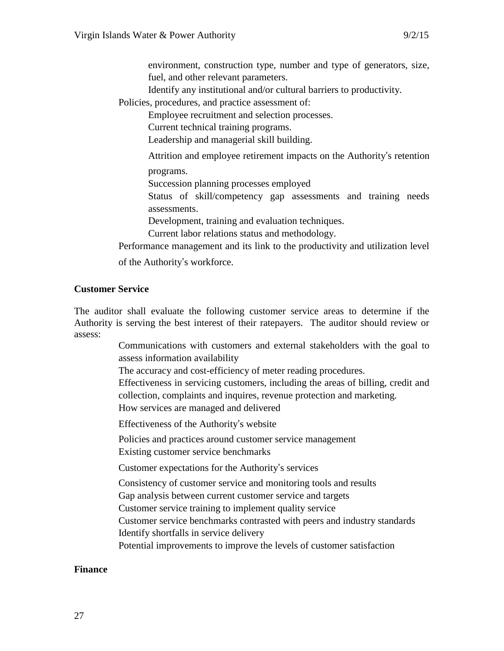environment, construction type, number and type of generators, size, fuel, and other relevant parameters.

Identify any institutional and/or cultural barriers to productivity.

Policies, procedures, and practice assessment of:

Employee recruitment and selection processes.

Current technical training programs.

Leadership and managerial skill building.

Attrition and employee retirement impacts on the Authority's retention

programs.

Succession planning processes employed

Status of skill/competency gap assessments and training needs assessments.

Development, training and evaluation techniques.

Current labor relations status and methodology.

Performance management and its link to the productivity and utilization level of the Authority's workforce.

### **Customer Service**

The auditor shall evaluate the following customer service areas to determine if the Authority is serving the best interest of their ratepayers. The auditor should review or assess:

> Communications with customers and external stakeholders with the goal to assess information availability

The accuracy and cost-efficiency of meter reading procedures.

Effectiveness in servicing customers, including the areas of billing, credit and collection, complaints and inquires, revenue protection and marketing.

How services are managed and delivered

Effectiveness of the Authority's website

Policies and practices around customer service management Existing customer service benchmarks

Customer expectations for the Authority's services

Consistency of customer service and monitoring tools and results

Gap analysis between current customer service and targets

Customer service training to implement quality service

Customer service benchmarks contrasted with peers and industry standards Identify shortfalls in service delivery

Potential improvements to improve the levels of customer satisfaction

#### **Finance**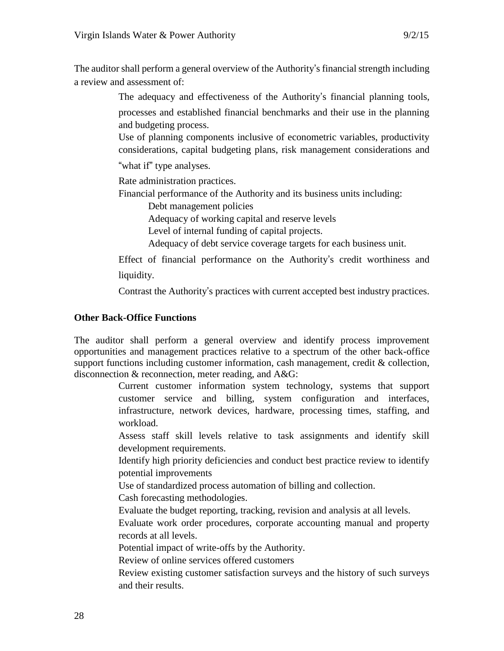The auditor shall perform a general overview of the Authority's financial strength including a review and assessment of:

The adequacy and effectiveness of the Authority's financial planning tools,

processes and established financial benchmarks and their use in the planning and budgeting process.

Use of planning components inclusive of econometric variables, productivity considerations, capital budgeting plans, risk management considerations and

"what if" type analyses.

Rate administration practices.

Financial performance of the Authority and its business units including:

Debt management policies

Adequacy of working capital and reserve levels

Level of internal funding of capital projects.

Adequacy of debt service coverage targets for each business unit.

Effect of financial performance on the Authority's credit worthiness and liquidity.

Contrast the Authority's practices with current accepted best industry practices.

# **Other Back-Office Functions**

The auditor shall perform a general overview and identify process improvement opportunities and management practices relative to a spectrum of the other back-office support functions including customer information, cash management, credit & collection, disconnection & reconnection, meter reading, and A&G:

> Current customer information system technology, systems that support customer service and billing, system configuration and interfaces, infrastructure, network devices, hardware, processing times, staffing, and workload.

> Assess staff skill levels relative to task assignments and identify skill development requirements.

> Identify high priority deficiencies and conduct best practice review to identify potential improvements

Use of standardized process automation of billing and collection.

Cash forecasting methodologies.

Evaluate the budget reporting, tracking, revision and analysis at all levels.

Evaluate work order procedures, corporate accounting manual and property records at all levels.

Potential impact of write-offs by the Authority.

Review of online services offered customers

Review existing customer satisfaction surveys and the history of such surveys and their results.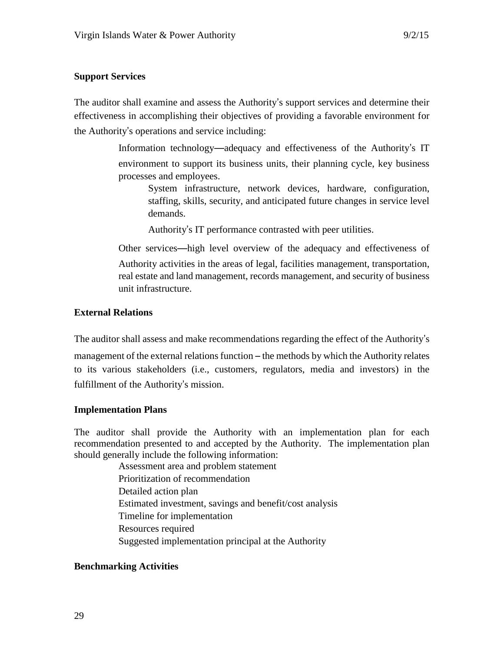### **Support Services**

The auditor shall examine and assess the Authority's support services and determine their effectiveness in accomplishing their objectives of providing a favorable environment for the Authority's operations and service including:

> Information technology—adequacy and effectiveness of the Authority's IT environment to support its business units, their planning cycle, key business processes and employees.

System infrastructure, network devices, hardware, configuration, staffing, skills, security, and anticipated future changes in service level demands.

Authority's IT performance contrasted with peer utilities.

Other services—high level overview of the adequacy and effectiveness of Authority activities in the areas of legal, facilities management, transportation, real estate and land management, records management, and security of business unit infrastructure.

### **External Relations**

The auditor shall assess and make recommendations regarding the effect of the Authority's management of the external relations function – the methods by which the Authority relates to its various stakeholders (i.e., customers, regulators, media and investors) in the fulfillment of the Authority's mission.

#### **Implementation Plans**

The auditor shall provide the Authority with an implementation plan for each recommendation presented to and accepted by the Authority. The implementation plan should generally include the following information:

> Assessment area and problem statement Prioritization of recommendation Detailed action plan Estimated investment, savings and benefit/cost analysis Timeline for implementation Resources required Suggested implementation principal at the Authority

# **Benchmarking Activities**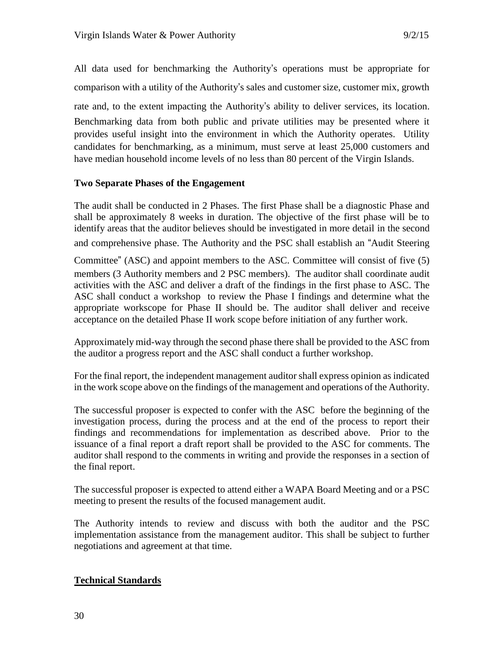All data used for benchmarking the Authority's operations must be appropriate for comparison with a utility of the Authority's sales and customer size, customer mix, growth rate and, to the extent impacting the Authority's ability to deliver services, its location. Benchmarking data from both public and private utilities may be presented where it provides useful insight into the environment in which the Authority operates. Utility candidates for benchmarking, as a minimum, must serve at least 25,000 customers and have median household income levels of no less than 80 percent of the Virgin Islands.

# **Two Separate Phases of the Engagement**

The audit shall be conducted in 2 Phases. The first Phase shall be a diagnostic Phase and shall be approximately 8 weeks in duration. The objective of the first phase will be to identify areas that the auditor believes should be investigated in more detail in the second

and comprehensive phase. The Authority and the PSC shall establish an "Audit Steering

Committee" (ASC) and appoint members to the ASC. Committee will consist of five (5) members (3 Authority members and 2 PSC members). The auditor shall coordinate audit activities with the ASC and deliver a draft of the findings in the first phase to ASC. The ASC shall conduct a workshop to review the Phase I findings and determine what the appropriate workscope for Phase II should be. The auditor shall deliver and receive acceptance on the detailed Phase II work scope before initiation of any further work.

Approximately mid-way through the second phase there shall be provided to the ASC from the auditor a progress report and the ASC shall conduct a further workshop.

For the final report, the independent management auditor shall express opinion as indicated in the work scope above on the findings of the management and operations of the Authority.

The successful proposer is expected to confer with the ASC before the beginning of the investigation process, during the process and at the end of the process to report their findings and recommendations for implementation as described above. Prior to the issuance of a final report a draft report shall be provided to the ASC for comments. The auditor shall respond to the comments in writing and provide the responses in a section of the final report.

The successful proposer is expected to attend either a WAPA Board Meeting and or a PSC meeting to present the results of the focused management audit.

The Authority intends to review and discuss with both the auditor and the PSC implementation assistance from the management auditor. This shall be subject to further negotiations and agreement at that time.

# **Technical Standards**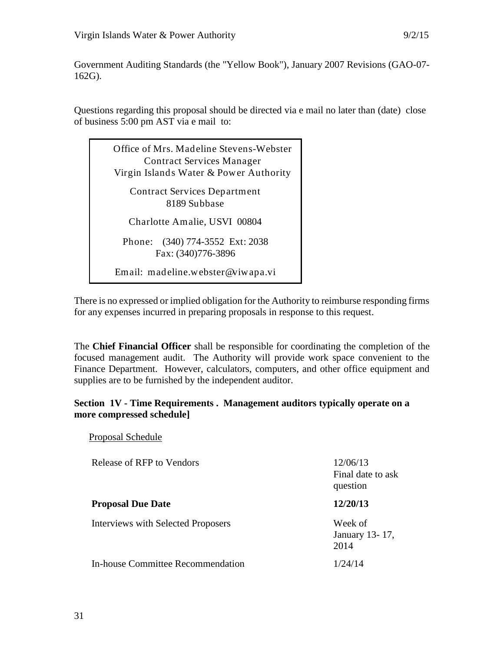Government Auditing Standards (the "Yellow Book"), January 2007 Revisions (GAO-07- 162G).

Questions regarding this proposal should be directed via e mail no later than (date) close of business 5:00 pm AST via e mail to:

Office of Mrs. Madeline Stevens-Webster Contract Services Manager Virgin Islands Water & Power Authority Contract Services Department 8189 Subbase Charlotte Amalie, USVI 00804 Phone: (340) 774-3552 Ext: 2038 Fax: (340)776-3896 Email: madeline.webster@viwapa.vi

There is no expressed or implied obligation for the Authority to reimburse responding firms for any expenses incurred in preparing proposals in response to this request.

The **Chief Financial Officer** shall be responsible for coordinating the completion of the focused management audit. The Authority will provide work space convenient to the Finance Department. However, calculators, computers, and other office equipment and supplies are to be furnished by the independent auditor.

# **Section 1V - Time Requirements . Management auditors typically operate on a more compressed schedule]**

| Release of RFP to Vendors                 | 12/06/13<br>Final date to ask<br>question |
|-------------------------------------------|-------------------------------------------|
| <b>Proposal Due Date</b>                  | 12/20/13                                  |
| <b>Interviews with Selected Proposers</b> | Week of<br>January 13-17,<br>2014         |
| In-house Committee Recommendation         | 1/24/14                                   |

Proposal Schedule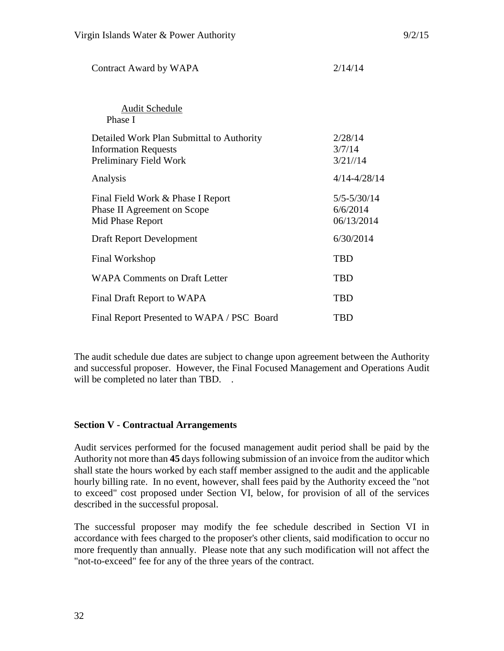| <b>Audit Schedule</b><br>Phase I                                                                   |                                           |
|----------------------------------------------------------------------------------------------------|-------------------------------------------|
| Detailed Work Plan Submittal to Authority<br><b>Information Requests</b><br>Preliminary Field Work | 2/28/14<br>3/7/14<br>3/21//14             |
| Analysis                                                                                           | $4/14 - 4/28/14$                          |
| Final Field Work & Phase I Report<br>Phase II Agreement on Scope<br>Mid Phase Report               | $5/5 - 5/30/14$<br>6/6/2014<br>06/13/2014 |
| Draft Report Development                                                                           | 6/30/2014                                 |
| Final Workshop                                                                                     | <b>TBD</b>                                |
| <b>WAPA Comments on Draft Letter</b>                                                               | TBD                                       |
| Final Draft Report to WAPA                                                                         | TBD                                       |
| Final Report Presented to WAPA / PSC Board                                                         | TBD                                       |

Contract Award by WAPA 2/14/14

The audit schedule due dates are subject to change upon agreement between the Authority and successful proposer. However, the Final Focused Management and Operations Audit will be completed no later than TBD. .

# **Section V - Contractual Arrangements**

Audit services performed for the focused management audit period shall be paid by the Authority not more than **45** days following submission of an invoice from the auditor which shall state the hours worked by each staff member assigned to the audit and the applicable hourly billing rate. In no event, however, shall fees paid by the Authority exceed the "not to exceed" cost proposed under Section VI, below, for provision of all of the services described in the successful proposal.

The successful proposer may modify the fee schedule described in Section VI in accordance with fees charged to the proposer's other clients, said modification to occur no more frequently than annually. Please note that any such modification will not affect the "not-to-exceed" fee for any of the three years of the contract.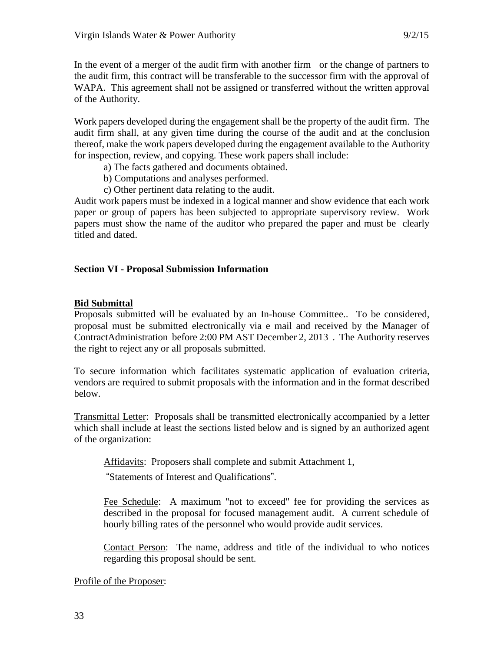In the event of a merger of the audit firm with another firm or the change of partners to the audit firm, this contract will be transferable to the successor firm with the approval of WAPA. This agreement shall not be assigned or transferred without the written approval of the Authority.

Work papers developed during the engagement shall be the property of the audit firm. The audit firm shall, at any given time during the course of the audit and at the conclusion thereof, make the work papers developed during the engagement available to the Authority for inspection, review, and copying. These work papers shall include:

- a) The facts gathered and documents obtained.
- b) Computations and analyses performed.
- c) Other pertinent data relating to the audit.

Audit work papers must be indexed in a logical manner and show evidence that each work paper or group of papers has been subjected to appropriate supervisory review. Work papers must show the name of the auditor who prepared the paper and must be clearly titled and dated.

### **Section VI - Proposal Submission Information**

#### **Bid Submittal**

Proposals submitted will be evaluated by an In-house Committee.. To be considered, proposal must be submitted electronically via e mail and received by the Manager of ContractAdministration before 2:00 PM AST December 2, 2013 . The Authority reserves the right to reject any or all proposals submitted.

To secure information which facilitates systematic application of evaluation criteria, vendors are required to submit proposals with the information and in the format described below.

Transmittal Letter: Proposals shall be transmitted electronically accompanied by a letter which shall include at least the sections listed below and is signed by an authorized agent of the organization:

Affidavits: Proposers shall complete and submit Attachment 1,

"Statements of Interest and Qualifications".

Fee Schedule: A maximum "not to exceed" fee for providing the services as described in the proposal for focused management audit. A current schedule of hourly billing rates of the personnel who would provide audit services.

Contact Person: The name, address and title of the individual to who notices regarding this proposal should be sent.

Profile of the Proposer: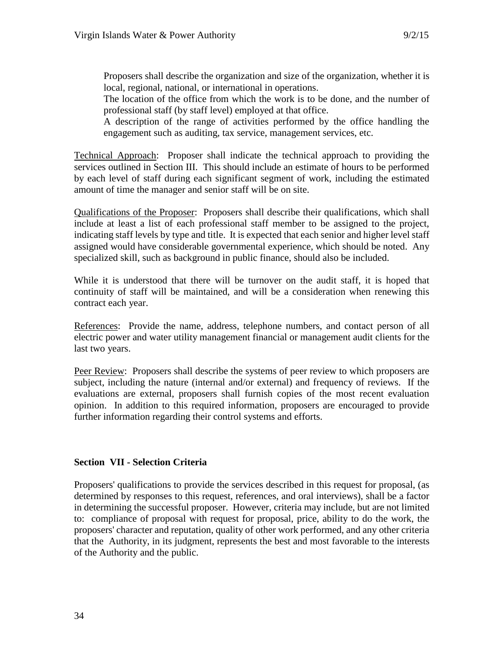Proposers shall describe the organization and size of the organization, whether it is local, regional, national, or international in operations.

The location of the office from which the work is to be done, and the number of professional staff (by staff level) employed at that office.

A description of the range of activities performed by the office handling the engagement such as auditing, tax service, management services, etc.

Technical Approach: Proposer shall indicate the technical approach to providing the services outlined in Section III. This should include an estimate of hours to be performed by each level of staff during each significant segment of work, including the estimated amount of time the manager and senior staff will be on site.

Qualifications of the Proposer: Proposers shall describe their qualifications, which shall include at least a list of each professional staff member to be assigned to the project, indicating staff levels by type and title. It is expected that each senior and higher level staff assigned would have considerable governmental experience, which should be noted. Any specialized skill, such as background in public finance, should also be included.

While it is understood that there will be turnover on the audit staff, it is hoped that continuity of staff will be maintained, and will be a consideration when renewing this contract each year.

References: Provide the name, address, telephone numbers, and contact person of all electric power and water utility management financial or management audit clients for the last two years.

Peer Review: Proposers shall describe the systems of peer review to which proposers are subject, including the nature (internal and/or external) and frequency of reviews. If the evaluations are external, proposers shall furnish copies of the most recent evaluation opinion. In addition to this required information, proposers are encouraged to provide further information regarding their control systems and efforts.

# **Section VII - Selection Criteria**

Proposers' qualifications to provide the services described in this request for proposal, (as determined by responses to this request, references, and oral interviews), shall be a factor in determining the successful proposer. However, criteria may include, but are not limited to: compliance of proposal with request for proposal, price, ability to do the work, the proposers' character and reputation, quality of other work performed, and any other criteria that the Authority, in its judgment, represents the best and most favorable to the interests of the Authority and the public.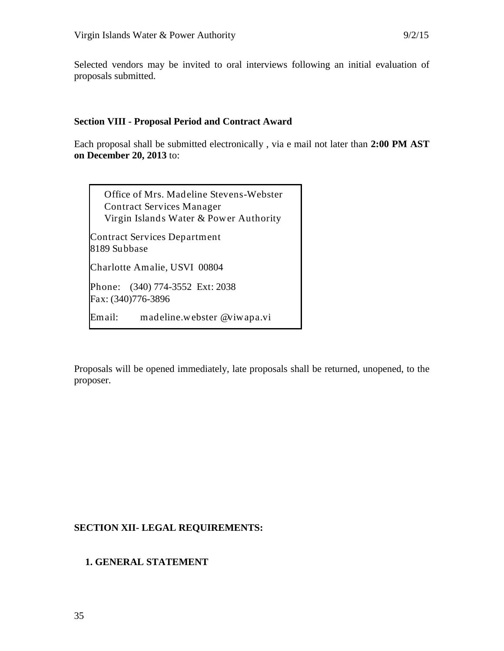Selected vendors may be invited to oral interviews following an initial evaluation of proposals submitted.

#### **Section VIII - Proposal Period and Contract Award**

Each proposal shall be submitted electronically , via e mail not later than **2:00 PM AST on December 20, 2013** to:

Office of Mrs. Madeline Stevens-Webster Contract Services Manager Virgin Islands Water & Power Authority

Contract Services Department 8189 Subbase

Charlotte Amalie, USVI 00804

Phone: (340) 774-3552 Ext: 2038 Fax: (340)776-3896

Email: [madeline.webster @viwapa.vi](mailto:madeline.webster%20@viwapa.vi)

Proposals will be opened immediately, late proposals shall be returned, unopened, to the proposer.

# **SECTION XII- LEGAL REQUIREMENTS:**

# **1. GENERAL STATEMENT**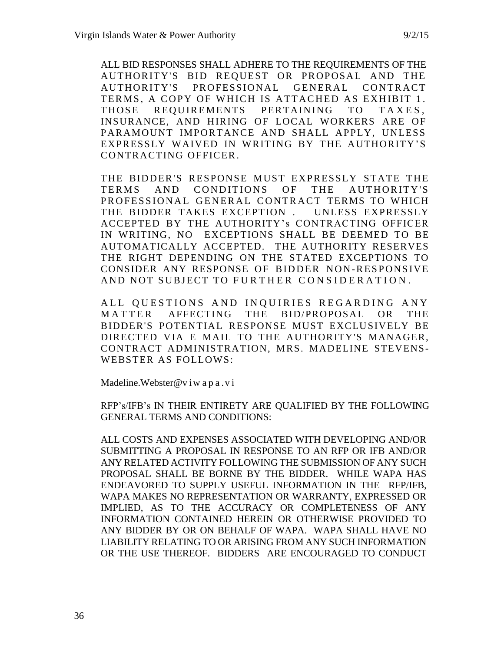ALL BID RESPONSES SHALL ADHERE TO THE REQUIREMENTS OF THE AUTHORITY'S BID REQUEST OR PROPOSAL AND THE AUTHORITY'S PROFESSIONAL GENERAL CONTRACT TERMS, A COPY OF WHICH IS ATTACHED AS EXHIBIT 1. THOSE REOUIREMENTS PERTAINING TO TAXES, INSURANCE, AND HIRING OF LOCAL WORKERS ARE OF PARAMOUNT IMPORTANCE AND SHALL APPLY, UNLESS EXPRESSLY WAIVED IN WRITING BY THE AUTHORITY'S CONTRACTING OFFICER.

THE BIDDER'S RESPONSE MUST EXPRESSLY STATE THE TERMS AND CONDITIONS OF THE AUTHORITY'S PROFESSIONAL GENERAL CONTRACT TERMS TO WHICH THE BIDDER TAKES EXCEPTION . UNLESS EXPRESSLY ACCEPTED BY THE AUTHORITY's CONTRACTING OFFICER IN WRITING, NO EXCEPTIONS SHALL BE DEEMED TO BE AUTOMATICALLY ACCEPTED. THE AUTHORITY RESERVES THE RIGHT DEPENDING ON THE STATED EXCEPTIONS TO CONSIDER ANY RESPONSE OF BIDDER NON-RESPONSIVE AND NOT SUBJECT TO FURTHER CONSIDERATION.

ALL QUESTIONS AND INQUIRIES REGARDING ANY MATTER AFFECTING THE BID/PROPOSAL OR THE BIDDER'S POTENTIAL RESPONSE MUST EXCLUSIVELY BE DIRECTED VIA E MAIL TO THE AUTHORITY'S MANAGER, CONTRACT ADMINISTRATION, MRS. MADELINE STEVENS-WEBSTER AS FOLLOWS:

Madeline. Webster@v i w a p a .v i

RFP's/IFB's IN THEIR ENTIRETY ARE QUALIFIED BY THE FOLLOWING GENERAL TERMS AND CONDITIONS:

ALL COSTS AND EXPENSES ASSOCIATED WITH DEVELOPING AND/OR SUBMITTING A PROPOSAL IN RESPONSE TO AN RFP OR IFB AND/OR ANY RELATED ACTIVITY FOLLOWING THE SUBMISSION OF ANY SUCH PROPOSAL SHALL BE BORNE BY THE BIDDER. WHILE WAPA HAS ENDEAVORED TO SUPPLY USEFUL INFORMATION IN THE RFP/IFB, WAPA MAKES NO REPRESENTATION OR WARRANTY, EXPRESSED OR IMPLIED, AS TO THE ACCURACY OR COMPLETENESS OF ANY INFORMATION CONTAINED HEREIN OR OTHERWISE PROVIDED TO ANY BIDDER BY OR ON BEHALF OF WAPA. WAPA SHALL HAVE NO LIABILITY RELATING TO OR ARISING FROM ANY SUCH INFORMATION OR THE USE THEREOF. BIDDERS ARE ENCOURAGED TO CONDUCT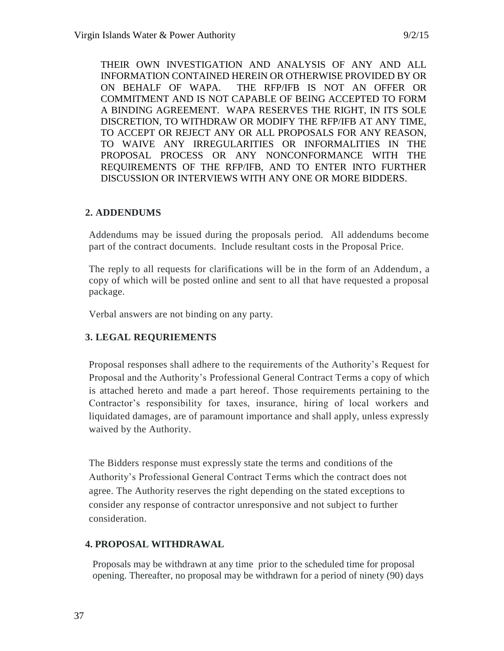THEIR OWN INVESTIGATION AND ANALYSIS OF ANY AND ALL INFORMATION CONTAINED HEREIN OR OTHERWISE PROVIDED BY OR ON BEHALF OF WAPA. THE RFP/IFB IS NOT AN OFFER OR COMMITMENT AND IS NOT CAPABLE OF BEING ACCEPTED TO FORM A BINDING AGREEMENT. WAPA RESERVES THE RIGHT, IN ITS SOLE DISCRETION, TO WITHDRAW OR MODIFY THE RFP/IFB AT ANY TIME, TO ACCEPT OR REJECT ANY OR ALL PROPOSALS FOR ANY REASON, TO WAIVE ANY IRREGULARITIES OR INFORMALITIES IN THE PROPOSAL PROCESS OR ANY NONCONFORMANCE WITH THE REQUIREMENTS OF THE RFP/IFB, AND TO ENTER INTO FURTHER DISCUSSION OR INTERVIEWS WITH ANY ONE OR MORE BIDDERS.

# **2. ADDENDUMS**

Addendums may be issued during the proposals period. All addendums become part of the contract documents. Include resultant costs in the Proposal Price.

The reply to all requests for clarifications will be in the form of an Addendum, a copy of which will be posted online and sent to all that have requested a proposal package.

Verbal answers are not binding on any party.

# **3. LEGAL REQURIEMENTS**

Proposal responses shall adhere to the requirements of the Authority's Request for Proposal and the Authority's Professional General Contract Terms a copy of which is attached hereto and made a part hereof. Those requirements pertaining to the Contractor's responsibility for taxes, insurance, hiring of local workers and liquidated damages, are of paramount importance and shall apply, unless expressly waived by the Authority.

The Bidders response must expressly state the terms and conditions of the Authority's Professional General Contract Terms which the contract does not agree. The Authority reserves the right depending on the stated exceptions to consider any response of contractor unresponsive and not subject to further consideration.

# **4. PROPOSAL WITHDRAWAL**

Proposals may be withdrawn at any time prior to the scheduled time for proposal opening. Thereafter, no proposal may be withdrawn for a period of ninety (90) days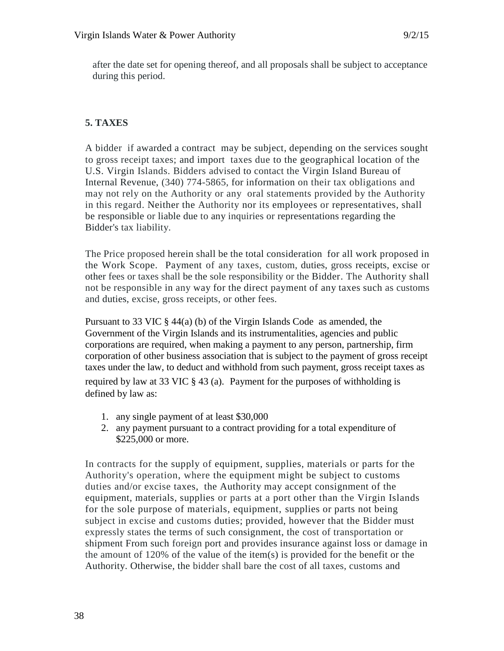after the date set for opening thereof, and all proposals shall be subject to acceptance during this period.

# **5. TAXES**

A bidder if awarded a contract may be subject, depending on the services sought to gross receipt taxes; and import taxes due to the geographical location of the U.S. Virgin Islands. Bidders advised to contact the Virgin Island Bureau of Internal Revenue, (340) 774-5865, for information on their tax obligations and may not rely on the Authority or any oral statements provided by the Authority in this regard. Neither the Authority nor its employees or representatives, shall be responsible or liable due to any inquiries or representations regarding the Bidder's tax liability.

The Price proposed herein shall be the total consideration for all work proposed in the Work Scope. Payment of any taxes, custom, duties, gross receipts, excise or other fees or taxes shall be the sole responsibility or the Bidder. The Authority shall not be responsible in any way for the direct payment of any taxes such as customs and duties, excise, gross receipts, or other fees.

Pursuant to 33 VIC  $\S$  44(a) (b) of the Virgin Islands Code, as amended, the Government of the Virgin Islands and its instrumentalities, agencies and public corporations are required, when making a payment to any person, partnership, firm corporation of other business association that is subject to the payment of gross receipt taxes under the law, to deduct and withhold from such payment, gross receipt taxes as required by law at 33 VIC § 43 (a). Payment for the purposes of withholding is defined by law as:

- 1. any single payment of at least \$30,000
- 2. any payment pursuant to a contract providing for a total expenditure of \$225,000 or more.

In contracts for the supply of equipment, supplies, materials or parts for the Authority's operation, where the equipment might be subject to customs duties and/or excise taxes, the Authority may accept consignment of the equipment, materials, supplies or parts at a port other than the Virgin Islands for the sole purpose of materials, equipment, supplies or parts not being subject in excise and customs duties; provided, however that the Bidder must expressly states the terms of such consignment, the cost of transportation or shipment From such foreign port and provides insurance against loss or damage in the amount of 120% of the value of the item(s) is provided for the benefit or the Authority. Otherwise, the bidder shall bare the cost of all taxes, customs and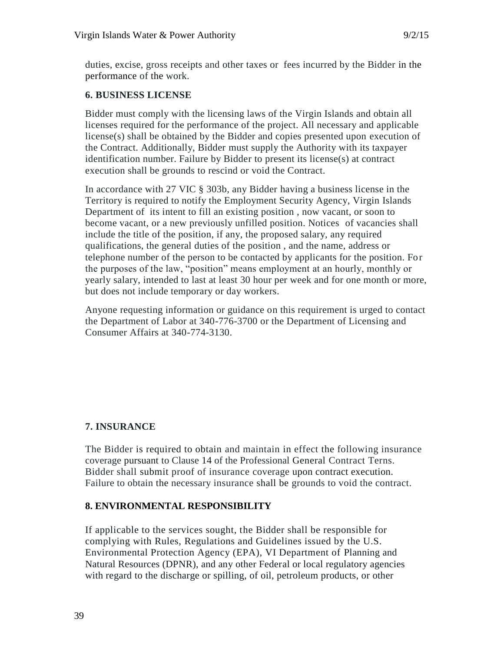duties, excise, gross receipts and other taxes or fees incurred by the Bidder in the performance of the work.

# **6. BUSINESS LICENSE**

Bidder must comply with the licensing laws of the Virgin Islands and obtain all licenses required for the performance of the project. All necessary and applicable license(s) shall be obtained by the Bidder and copies presented upon execution of the Contract. Additionally, Bidder must supply the Authority with its taxpayer identification number. Failure by Bidder to present its license(s) at contract execution shall be grounds to rescind or void the Contract.

In accordance with 27 VIC § 303b, any Bidder having a business license in the Territory is required to notify the Employment Security Agency, Virgin Islands Department of its intent to fill an existing position , now vacant, or soon to become vacant, or a new previously unfilled position. Notices of vacancies shall include the title of the position, if any, the proposed salary, any required qualifications, the general duties of the position , and the name, address or telephone number of the person to be contacted by applicants for the position. For the purposes of the law, "position" means employment at an hourly, monthly or yearly salary, intended to last at least 30 hour per week and for one month or more, but does not include temporary or day workers.

Anyone requesting information or guidance on this requirement is urged to contact the Department of Labor at 340-776-3700 or the Department of Licensing and Consumer Affairs at 340-774-3130.

# **7. INSURANCE**

The Bidder is required to obtain and maintain in effect the following insurance coverage pursuant to Clause 14 of the Professional General Contract Terns. Bidder shall submit proof of insurance coverage upon contract execution. Failure to obtain the necessary insurance shall be grounds to void the contract.

# **8. ENVIRONMENTAL RESPONSIBILITY**

If applicable to the services sought, the Bidder shall be responsible for complying with Rules, Regulations and Guidelines issued by the U.S. Environmental Protection Agency (EPA), VI Department of Planning and Natural Resources (DPNR), and any other Federal or local regulatory agencies with regard to the discharge or spilling, of oil, petroleum products, or other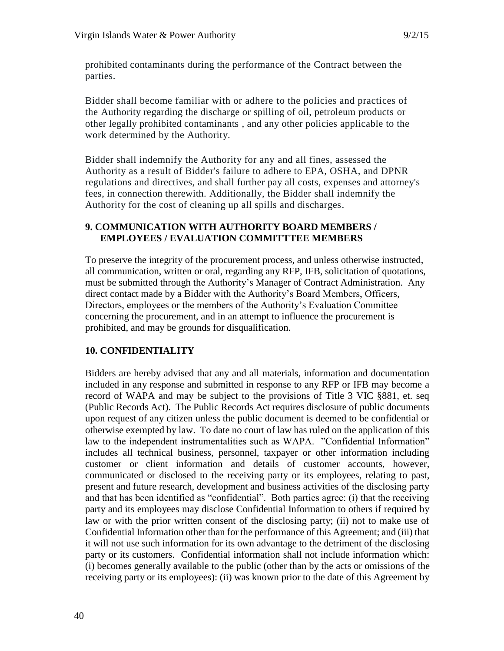prohibited contaminants during the performance of the Contract between the parties.

Bidder shall become familiar with or adhere to the policies and practices of the Authority regarding the discharge or spilling of oil, petroleum products or other legally prohibited contaminants , and any other policies applicable to the work determined by the Authority.

Bidder shall indemnify the Authority for any and all fines, assessed the Authority as a result of Bidder's failure to adhere to EPA, OSHA, and DPNR regulations and directives, and shall further pay all costs, expenses and attorney's fees, in connection therewith. Additionally, the Bidder shall indemnify the Authority for the cost of cleaning up all spills and discharges.

# **9. COMMUNICATION WITH AUTHORITY BOARD MEMBERS / EMPLOYEES / EVALUATION COMMITTTEE MEMBERS**

To preserve the integrity of the procurement process, and unless otherwise instructed, all communication, written or oral, regarding any RFP, IFB, solicitation of quotations, must be submitted through the Authority's Manager of Contract Administration. Any direct contact made by a Bidder with the Authority's Board Members, Officers, Directors, employees or the members of the Authority's Evaluation Committee concerning the procurement, and in an attempt to influence the procurement is prohibited, and may be grounds for disqualification.

# **10. CONFIDENTIALITY**

Bidders are hereby advised that any and all materials, information and documentation included in any response and submitted in response to any RFP or IFB may become a record of WAPA and may be subject to the provisions of Title 3 VIC §881, et. seq (Public Records Act). The Public Records Act requires disclosure of public documents upon request of any citizen unless the public document is deemed to be confidential or otherwise exempted by law. To date no court of law has ruled on the application of this law to the independent instrumentalities such as WAPA. "Confidential Information" includes all technical business, personnel, taxpayer or other information including customer or client information and details of customer accounts, however, communicated or disclosed to the receiving party or its employees, relating to past, present and future research, development and business activities of the disclosing party and that has been identified as "confidential". Both parties agree: (i) that the receiving party and its employees may disclose Confidential Information to others if required by law or with the prior written consent of the disclosing party; (ii) not to make use of Confidential Information other than for the performance of this Agreement; and (iii) that it will not use such information for its own advantage to the detriment of the disclosing party or its customers. Confidential information shall not include information which: (i) becomes generally available to the public (other than by the acts or omissions of the receiving party or its employees): (ii) was known prior to the date of this Agreement by